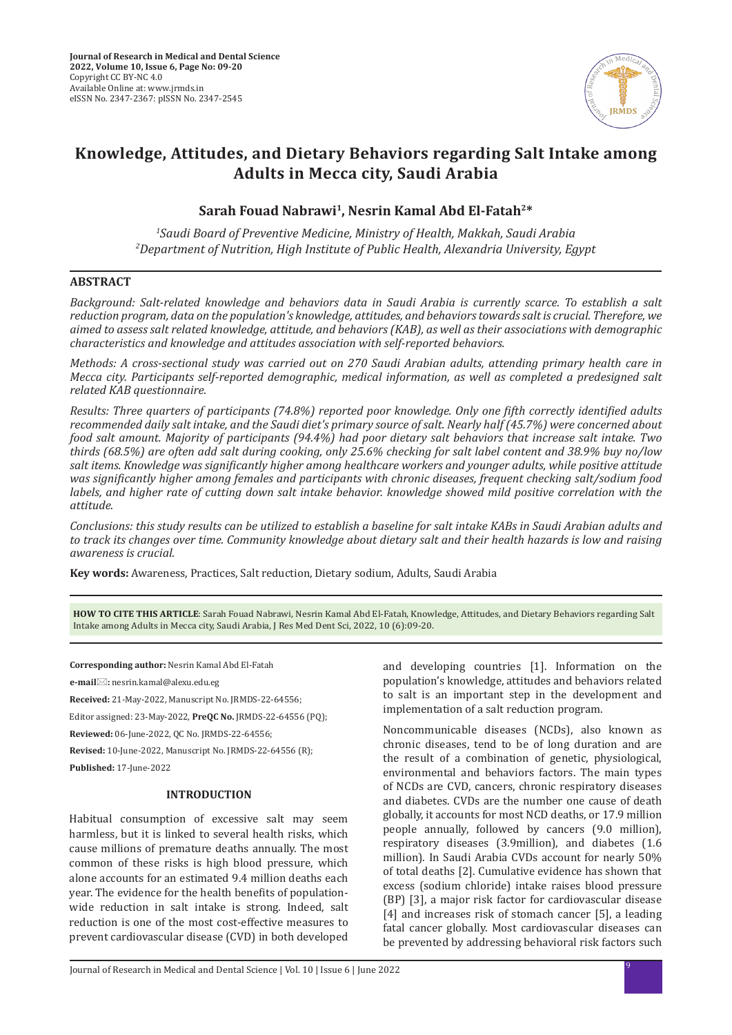

# **Knowledge, Attitudes, and Dietary Behaviors regarding Salt Intake among Adults in Mecca city, Saudi Arabia**

**Sarah Fouad Nabrawi1, Nesrin Kamal Abd El-Fatah2\***

*1 Saudi Board of Preventive Medicine, Ministry of Health, Makkah, Saudi Arabia 2 Department of Nutrition, High Institute of Public Health, Alexandria University, Egypt*

## **ABSTRACT**

*Background: Salt-related knowledge and behaviors data in Saudi Arabia is currently scarce. To establish a salt reduction program, data on the population's knowledge, attitudes, and behaviors towards salt is crucial. Therefore, we aimed to assess salt related knowledge, attitude, and behaviors (KAB), as well as their associations with demographic characteristics and knowledge and attitudes association with self-reported behaviors.* 

*Methods: A cross-sectional study was carried out on 270 Saudi Arabian adults, attending primary health care in Mecca city. Participants self-reported demographic, medical information, as well as completed a predesigned salt related KAB questionnaire.* 

*Results: Three quarters of participants (74.8%) reported poor knowledge. Only one fifth correctly identified adults recommended daily salt intake, and the Saudi diet's primary source of salt. Nearly half (45.7%) were concerned about food salt amount. Majority of participants (94.4%) had poor dietary salt behaviors that increase salt intake. Two thirds (68.5%) are often add salt during cooking, only 25.6% checking for salt label content and 38.9% buy no/low salt items. Knowledge was significantly higher among healthcare workers and younger adults, while positive attitude was significantly higher among females and participants with chronic diseases, frequent checking salt/sodium food labels, and higher rate of cutting down salt intake behavior. knowledge showed mild positive correlation with the attitude.* 

*Conclusions: this study results can be utilized to establish a baseline for salt intake KABs in Saudi Arabian adults and to track its changes over time. Community knowledge about dietary salt and their health hazards is low and raising awareness is crucial.*

**Key words:** Awareness, Practices, Salt reduction, Dietary sodium, Adults, Saudi Arabia

**HOW TO CITE THIS ARTICLE**: Sarah Fouad Nabrawi, Nesrin Kamal Abd El-Fatah, Knowledge, Attitudes, and Dietary Behaviors regarding Salt Intake among Adults in Mecca city, Saudi Arabia, J Res Med Dent Sci, 2022, 10 (6):09-20.

**Corresponding author:** Nesrin Kamal Abd El-Fatah

**e-mail:** nesrin.kamal@alexu.edu.eg

**Received:** 21-May-2022, Manuscript No. JRMDS-22-64556;

Editor assigned: 23-May-2022, **PreQC No.** JRMDS-22-64556 (PQ);

**Reviewed:** 06-June-2022, QC No. JRMDS-22-64556;

**Revised:** 10-June-2022, Manuscript No. JRMDS-22-64556 (R);

**Published:** 17-June-2022

### **INTRODUCTION**

Habitual consumption of excessive salt may seem harmless, but it is linked to several health risks, which cause millions of premature deaths annually. The most common of these risks is high blood pressure, which alone accounts for an estimated 9.4 million deaths each year. The evidence for the health benefits of populationwide reduction in salt intake is strong. Indeed, salt reduction is one of the most cost-effective measures to prevent cardiovascular disease (CVD) in both developed and developing countries [1]. Information on the population's knowledge, attitudes and behaviors related to salt is an important step in the development and implementation of a salt reduction program.

Noncommunicable diseases (NCDs), also known as chronic diseases, tend to be of long duration and are the result of a combination of genetic, physiological, environmental and behaviors factors. The main types of NCDs are CVD, cancers, chronic respiratory diseases and diabetes. CVDs are the number one cause of death globally, it accounts for most NCD deaths, or 17.9 million people annually, followed by cancers (9.0 million), respiratory diseases (3.9million), and diabetes (1.6 million). In Saudi Arabia CVDs account for nearly 50% of total deaths [2]. Cumulative evidence has shown that excess (sodium chloride) intake raises blood pressure (BP) [3], a major risk factor for cardiovascular disease [4] and increases risk of stomach cancer [5], a leading fatal cancer globally. Most cardiovascular diseases can be prevented by addressing behavioral risk factors such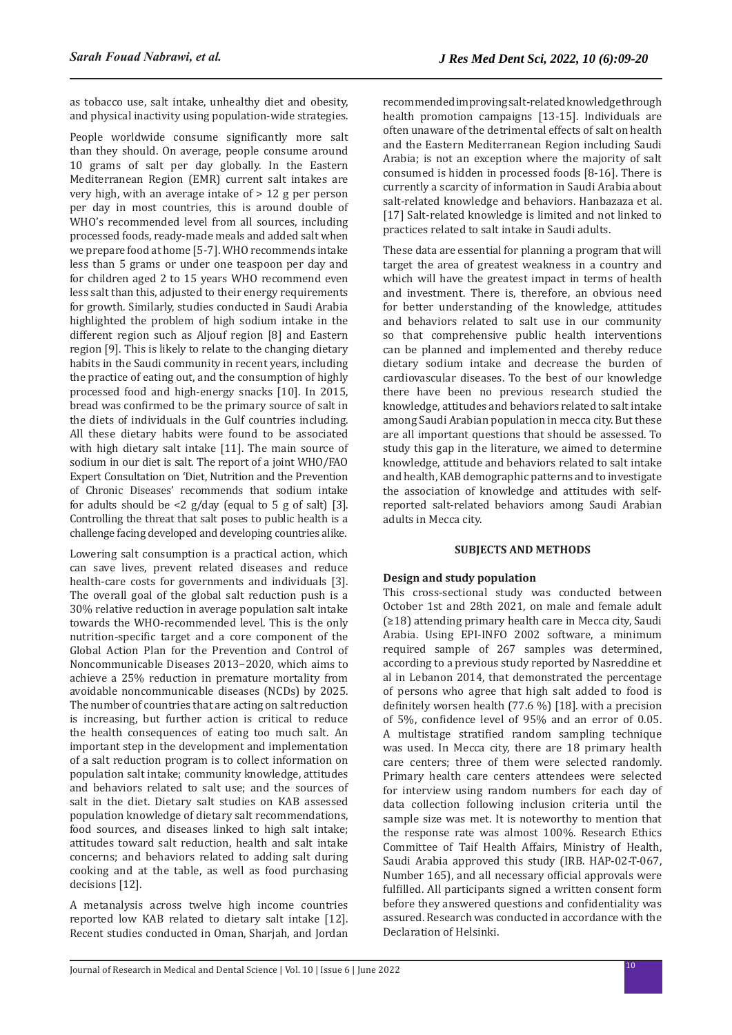as tobacco use, salt intake, unhealthy diet and obesity, and physical inactivity using population-wide strategies.

People worldwide consume significantly more salt than they should. On average, people consume around 10 grams of salt per day globally. In the Eastern Mediterranean Region (EMR) current salt intakes are very high, with an average intake of > 12 g per person per day in most countries, this is around double of WHO's recommended level from all sources, including processed foods, ready-made meals and added salt when we prepare food at home [5-7]. WHO recommends intake less than 5 grams or under one teaspoon per day and for children aged 2 to 15 years WHO recommend even less salt than this, adjusted to their energy requirements for growth. Similarly, studies conducted in Saudi Arabia highlighted the problem of high sodium intake in the different region such as Aljouf region [8] and Eastern region [9]. This is likely to relate to the changing dietary habits in the Saudi community in recent years, including the practice of eating out, and the consumption of highly processed food and high-energy snacks [10]. In 2015, bread was confirmed to be the primary source of salt in the diets of individuals in the Gulf countries including. All these dietary habits were found to be associated with high dietary salt intake [11]. The main source of sodium in our diet is salt. The report of a joint WHO/FAO Expert Consultation on 'Diet, Nutrition and the Prevention of Chronic Diseases' recommends that sodium intake for adults should be  $\langle 2 \rangle$  g/day (equal to 5 g of salt) [3]. Controlling the threat that salt poses to public health is a challenge facing developed and developing countries alike.

Lowering salt consumption is a practical action, which can save lives, prevent related diseases and reduce health-care costs for governments and individuals [3]. The overall goal of the global salt reduction push is a 30% relative reduction in average population salt intake towards the WHO-recommended level. This is the only nutrition-specific target and a core component of the Global Action Plan for the Prevention and Control of Noncommunicable Diseases 2013−2020, which aims to achieve a 25% reduction in premature mortality from avoidable noncommunicable diseases (NCDs) by 2025. The number of countries that are acting on salt reduction is increasing, but further action is critical to reduce the health consequences of eating too much salt. An important step in the development and implementation of a salt reduction program is to collect information on population salt intake; community knowledge, attitudes and behaviors related to salt use; and the sources of salt in the diet. Dietary salt studies on KAB assessed population knowledge of dietary salt recommendations, food sources, and diseases linked to high salt intake; attitudes toward salt reduction, health and salt intake concerns; and behaviors related to adding salt during cooking and at the table, as well as food purchasing decisions [12].

A metanalysis across twelve high income countries reported low KAB related to dietary salt intake [12]. Recent studies conducted in Oman, Sharjah, and Jordan recommended improving salt-related knowledge through health promotion campaigns [13-15]. Individuals are often unaware of the detrimental effects of salt on health and the Eastern Mediterranean Region including Saudi Arabia; is not an exception where the majority of salt consumed is hidden in processed foods [8-16]. There is currently a scarcity of information in Saudi Arabia about salt-related knowledge and behaviors. Hanbazaza et al. [17] Salt-related knowledge is limited and not linked to practices related to salt intake in Saudi adults.

These data are essential for planning a program that will target the area of greatest weakness in a country and which will have the greatest impact in terms of health and investment. There is, therefore, an obvious need for better understanding of the knowledge, attitudes and behaviors related to salt use in our community so that comprehensive public health interventions can be planned and implemented and thereby reduce dietary sodium intake and decrease the burden of cardiovascular diseases. To the best of our knowledge there have been no previous research studied the knowledge, attitudes and behaviors related to salt intake among Saudi Arabian population in mecca city. But these are all important questions that should be assessed. To study this gap in the literature, we aimed to determine knowledge, attitude and behaviors related to salt intake and health, KAB demographic patterns and to investigate the association of knowledge and attitudes with selfreported salt-related behaviors among Saudi Arabian adults in Mecca city.

#### **SUBJECTS AND METHODS**

## **Design and study population**

This cross-sectional study was conducted between October 1st and 28th 2021, on male and female adult (≥18) attending primary health care in Mecca city, Saudi Arabia. Using EPI-INFO 2002 software, a minimum required sample of 267 samples was determined, according to a previous study reported by Nasreddine et al in Lebanon 2014, that demonstrated the percentage of persons who agree that high salt added to food is definitely worsen health (77.6 %) [18]. with a precision of 5%, confidence level of 95% and an error of 0.05. A multistage stratified random sampling technique was used. In Mecca city, there are 18 primary health care centers; three of them were selected randomly. Primary health care centers attendees were selected for interview using random numbers for each day of data collection following inclusion criteria until the sample size was met. It is noteworthy to mention that the response rate was almost 100%. Research Ethics Committee of Taif Health Affairs, Ministry of Health, Saudi Arabia approved this study (IRB. HAP-02-T-067, Number 165), and all necessary official approvals were fulfilled. All participants signed a written consent form before they answered questions and confidentiality was assured. Research was conducted in accordance with the Declaration of Helsinki.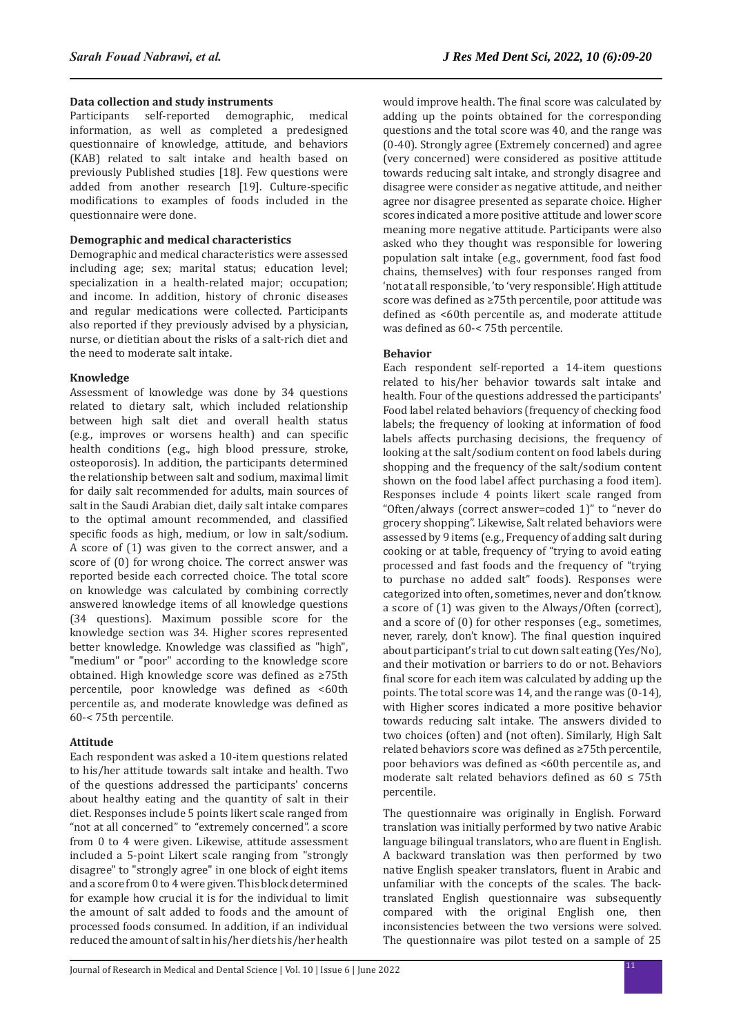## **Data collection and study instruments**

Participants self-reported demographic, medical information, as well as completed a predesigned questionnaire of knowledge, attitude, and behaviors (KAB) related to salt intake and health based on previously Published studies [18]. Few questions were added from another research [19]. Culture-specific modifications to examples of foods included in the questionnaire were done.

#### **Demographic and medical characteristics**

Demographic and medical characteristics were assessed including age; sex; marital status; education level; specialization in a health-related major; occupation; and income. In addition, history of chronic diseases and regular medications were collected. Participants also reported if they previously advised by a physician, nurse, or dietitian about the risks of a salt-rich diet and the need to moderate salt intake.

#### **Knowledge**

Assessment of knowledge was done by 34 questions related to dietary salt, which included relationship between high salt diet and overall health status (e.g., improves or worsens health) and can specific health conditions (e.g., high blood pressure, stroke, osteoporosis). In addition, the participants determined the relationship between salt and sodium, maximal limit for daily salt recommended for adults, main sources of salt in the Saudi Arabian diet, daily salt intake compares to the optimal amount recommended, and classified specific foods as high, medium, or low in salt/sodium. A score of (1) was given to the correct answer, and a score of (0) for wrong choice. The correct answer was reported beside each corrected choice. The total score on knowledge was calculated by combining correctly answered knowledge items of all knowledge questions (34 questions). Maximum possible score for the knowledge section was 34. Higher scores represented better knowledge. Knowledge was classified as "high", "medium" or "poor" according to the knowledge score obtained. High knowledge score was defined as ≥75th percentile, poor knowledge was defined as <60th percentile as, and moderate knowledge was defined as 60-< 75th percentile.

#### **Attitude**

Each respondent was asked a 10-item questions related to his/her attitude towards salt intake and health. Two of the questions addressed the participants' concerns about healthy eating and the quantity of salt in their diet. Responses include 5 points likert scale ranged from "not at all concerned" to "extremely concerned". a score from 0 to 4 were given. Likewise, attitude assessment included a 5-point Likert scale ranging from "strongly disagree" to "strongly agree" in one block of eight items and a score from 0 to 4 were given. This block determined for example how crucial it is for the individual to limit the amount of salt added to foods and the amount of processed foods consumed. In addition, if an individual reduced the amount of salt in his/her diets his/her health would improve health. The final score was calculated by adding up the points obtained for the corresponding questions and the total score was 40, and the range was (0-40). Strongly agree (Extremely concerned) and agree (very concerned) were considered as positive attitude towards reducing salt intake, and strongly disagree and disagree were consider as negative attitude, and neither agree nor disagree presented as separate choice. Higher scores indicated a more positive attitude and lower score meaning more negative attitude. Participants were also asked who they thought was responsible for lowering population salt intake (e.g., government, food fast food chains, themselves) with four responses ranged from 'not at all responsible, 'to 'very responsible'. High attitude score was defined as ≥75th percentile, poor attitude was defined as <60th percentile as, and moderate attitude was defined as 60-< 75th percentile.

#### **Behavior**

Each respondent self-reported a 14-item questions related to his/her behavior towards salt intake and health. Four of the questions addressed the participants' Food label related behaviors (frequency of checking food labels; the frequency of looking at information of food labels affects purchasing decisions, the frequency of looking at the salt/sodium content on food labels during shopping and the frequency of the salt/sodium content shown on the food label affect purchasing a food item). Responses include 4 points likert scale ranged from "Often/always (correct answer=coded 1)" to "never do grocery shopping". Likewise, Salt related behaviors were assessed by 9 items (e.g., Frequency of adding salt during cooking or at table, frequency of "trying to avoid eating processed and fast foods and the frequency of "trying to purchase no added salt" foods). Responses were categorized into often, sometimes, never and don't know. a score of (1) was given to the Always/Often (correct), and a score of (0) for other responses (e.g., sometimes, never, rarely, don't know). The final question inquired about participant's trial to cut down salt eating (Yes/No), and their motivation or barriers to do or not. Behaviors final score for each item was calculated by adding up the points. The total score was 14, and the range was (0-14), with Higher scores indicated a more positive behavior towards reducing salt intake. The answers divided to two choices (often) and (not often). Similarly, High Salt related behaviors score was defined as ≥75th percentile, poor behaviors was defined as <60th percentile as, and moderate salt related behaviors defined as  $60 \le 75$ th percentile.

The questionnaire was originally in English. Forward translation was initially performed by two native Arabic language bilingual translators, who are fluent in English. A backward translation was then performed by two native English speaker translators, fluent in Arabic and unfamiliar with the concepts of the scales. The backtranslated English questionnaire was subsequently compared with the original English one, then inconsistencies between the two versions were solved. The questionnaire was pilot tested on a sample of 25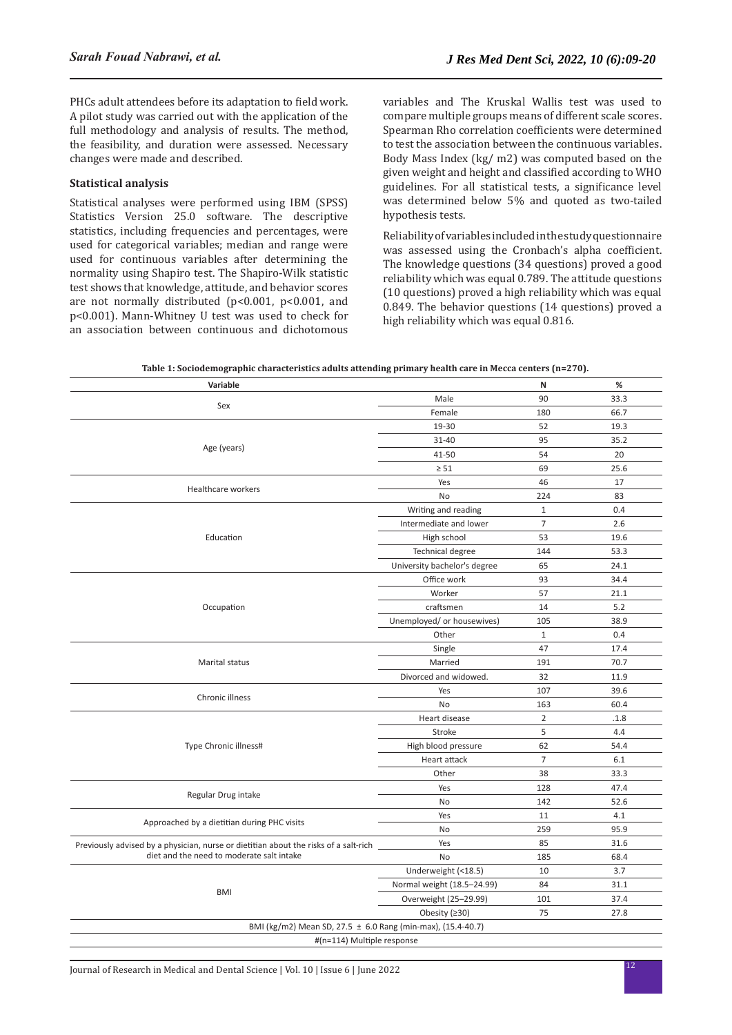PHCs adult attendees before its adaptation to field work. A pilot study was carried out with the application of the full methodology and analysis of results. The method, the feasibility, and duration were assessed. Necessary changes were made and described.

## **Statistical analysis**

Statistical analyses were performed using IBM (SPSS) Statistics Version 25.0 software. The descriptive statistics, including frequencies and percentages, were used for categorical variables; median and range were used for continuous variables after determining the normality using Shapiro test. The Shapiro-Wilk statistic test shows that knowledge, attitude, and behavior scores are not normally distributed (p<0.001, p<0.001, and p<0.001). Mann-Whitney U test was used to check for an association between continuous and dichotomous variables and The Kruskal Wallis test was used to compare multiple groups means of different scale scores. Spearman Rho correlation coefficients were determined to test the association between the continuous variables. Body Mass Index (kg/ m2) was computed based on the given weight and height and classified according to WHO guidelines. For all statistical tests, a significance level was determined below 5% and quoted as two-tailed hypothesis tests.

Reliability of variables included in the study questionnaire was assessed using the Cronbach's alpha coefficient. The knowledge questions (34 questions) proved a good reliability which was equal 0.789. The attitude questions (10 questions) proved a high reliability which was equal 0.849. The behavior questions (14 questions) proved a high reliability which was equal 0.816.

| Table 1: Sociodemographic characteristics adults attending primary health care in Mecca centers (n=270). |  |
|----------------------------------------------------------------------------------------------------------|--|
|----------------------------------------------------------------------------------------------------------|--|

| Male<br>90<br>33.3<br>Sex<br>Female<br>180<br>66.7<br>19-30<br>19.3<br>52<br>31-40<br>95<br>35.2<br>Age (years)<br>41-50<br>54<br>20<br>25.6<br>$\geq 51$<br>69<br>17<br>Yes<br>46<br><b>Healthcare workers</b><br>224<br>83<br>No<br>Writing and reading<br>$\mathbf{1}$<br>0.4<br>$\overline{7}$<br>Intermediate and lower<br>2.6<br>53<br>19.6<br>Education<br>High school<br>144<br>53.3<br>Technical degree<br>University bachelor's degree<br>65<br>24.1<br>Office work<br>93<br>34.4<br>Worker<br>57<br>21.1<br>craftsmen<br>14<br>5.2<br>Occupation<br>Unemployed/ or housewives)<br>105<br>38.9<br>Other<br>0.4<br>$\mathbf{1}$<br>47<br>17.4<br>Single<br>70.7<br>Marital status<br>Married<br>191<br>Divorced and widowed.<br>32<br>11.9<br>107<br>39.6<br>Yes<br>Chronic illness<br>60.4<br><b>No</b><br>163<br>Heart disease<br>$\overline{2}$<br>.1.8<br>5<br>Stroke<br>4.4<br>Type Chronic illness#<br>High blood pressure<br>62<br>54.4<br>$\overline{7}$<br>6.1<br>Heart attack<br>33.3<br>Other<br>38<br>128<br>47.4<br>Yes<br>Regular Drug intake<br>No<br>142<br>52.6<br>Yes<br>11<br>4.1<br>Approached by a dietitian during PHC visits<br>No<br>259<br>95.9<br>Yes<br>85<br>31.6<br>Previously advised by a physician, nurse or dietitian about the risks of a salt-rich<br>diet and the need to moderate salt intake<br>No<br>185<br>68.4<br>3.7<br>Underweight (<18.5)<br>10<br>84<br>31.1<br>Normal weight (18.5-24.99)<br><b>BMI</b><br>37.4<br>Overweight (25-29.99)<br>101<br>Obesity $(230)$<br>75<br>27.8<br>BMI (kg/m2) Mean SD, 27.5 ± 6.0 Rang (min-max), (15.4-40.7)<br>#(n=114) Multiple response | Variable | N | % |
|--------------------------------------------------------------------------------------------------------------------------------------------------------------------------------------------------------------------------------------------------------------------------------------------------------------------------------------------------------------------------------------------------------------------------------------------------------------------------------------------------------------------------------------------------------------------------------------------------------------------------------------------------------------------------------------------------------------------------------------------------------------------------------------------------------------------------------------------------------------------------------------------------------------------------------------------------------------------------------------------------------------------------------------------------------------------------------------------------------------------------------------------------------------------------------------------------------------------------------------------------------------------------------------------------------------------------------------------------------------------------------------------------------------------------------------------------------------------------------------------------------------------------------------------------------------------------------------------------------------------------------------|----------|---|---|
|                                                                                                                                                                                                                                                                                                                                                                                                                                                                                                                                                                                                                                                                                                                                                                                                                                                                                                                                                                                                                                                                                                                                                                                                                                                                                                                                                                                                                                                                                                                                                                                                                                      |          |   |   |
|                                                                                                                                                                                                                                                                                                                                                                                                                                                                                                                                                                                                                                                                                                                                                                                                                                                                                                                                                                                                                                                                                                                                                                                                                                                                                                                                                                                                                                                                                                                                                                                                                                      |          |   |   |
|                                                                                                                                                                                                                                                                                                                                                                                                                                                                                                                                                                                                                                                                                                                                                                                                                                                                                                                                                                                                                                                                                                                                                                                                                                                                                                                                                                                                                                                                                                                                                                                                                                      |          |   |   |
|                                                                                                                                                                                                                                                                                                                                                                                                                                                                                                                                                                                                                                                                                                                                                                                                                                                                                                                                                                                                                                                                                                                                                                                                                                                                                                                                                                                                                                                                                                                                                                                                                                      |          |   |   |
|                                                                                                                                                                                                                                                                                                                                                                                                                                                                                                                                                                                                                                                                                                                                                                                                                                                                                                                                                                                                                                                                                                                                                                                                                                                                                                                                                                                                                                                                                                                                                                                                                                      |          |   |   |
|                                                                                                                                                                                                                                                                                                                                                                                                                                                                                                                                                                                                                                                                                                                                                                                                                                                                                                                                                                                                                                                                                                                                                                                                                                                                                                                                                                                                                                                                                                                                                                                                                                      |          |   |   |
|                                                                                                                                                                                                                                                                                                                                                                                                                                                                                                                                                                                                                                                                                                                                                                                                                                                                                                                                                                                                                                                                                                                                                                                                                                                                                                                                                                                                                                                                                                                                                                                                                                      |          |   |   |
|                                                                                                                                                                                                                                                                                                                                                                                                                                                                                                                                                                                                                                                                                                                                                                                                                                                                                                                                                                                                                                                                                                                                                                                                                                                                                                                                                                                                                                                                                                                                                                                                                                      |          |   |   |
|                                                                                                                                                                                                                                                                                                                                                                                                                                                                                                                                                                                                                                                                                                                                                                                                                                                                                                                                                                                                                                                                                                                                                                                                                                                                                                                                                                                                                                                                                                                                                                                                                                      |          |   |   |
|                                                                                                                                                                                                                                                                                                                                                                                                                                                                                                                                                                                                                                                                                                                                                                                                                                                                                                                                                                                                                                                                                                                                                                                                                                                                                                                                                                                                                                                                                                                                                                                                                                      |          |   |   |
|                                                                                                                                                                                                                                                                                                                                                                                                                                                                                                                                                                                                                                                                                                                                                                                                                                                                                                                                                                                                                                                                                                                                                                                                                                                                                                                                                                                                                                                                                                                                                                                                                                      |          |   |   |
|                                                                                                                                                                                                                                                                                                                                                                                                                                                                                                                                                                                                                                                                                                                                                                                                                                                                                                                                                                                                                                                                                                                                                                                                                                                                                                                                                                                                                                                                                                                                                                                                                                      |          |   |   |
|                                                                                                                                                                                                                                                                                                                                                                                                                                                                                                                                                                                                                                                                                                                                                                                                                                                                                                                                                                                                                                                                                                                                                                                                                                                                                                                                                                                                                                                                                                                                                                                                                                      |          |   |   |
|                                                                                                                                                                                                                                                                                                                                                                                                                                                                                                                                                                                                                                                                                                                                                                                                                                                                                                                                                                                                                                                                                                                                                                                                                                                                                                                                                                                                                                                                                                                                                                                                                                      |          |   |   |
|                                                                                                                                                                                                                                                                                                                                                                                                                                                                                                                                                                                                                                                                                                                                                                                                                                                                                                                                                                                                                                                                                                                                                                                                                                                                                                                                                                                                                                                                                                                                                                                                                                      |          |   |   |
|                                                                                                                                                                                                                                                                                                                                                                                                                                                                                                                                                                                                                                                                                                                                                                                                                                                                                                                                                                                                                                                                                                                                                                                                                                                                                                                                                                                                                                                                                                                                                                                                                                      |          |   |   |
|                                                                                                                                                                                                                                                                                                                                                                                                                                                                                                                                                                                                                                                                                                                                                                                                                                                                                                                                                                                                                                                                                                                                                                                                                                                                                                                                                                                                                                                                                                                                                                                                                                      |          |   |   |
|                                                                                                                                                                                                                                                                                                                                                                                                                                                                                                                                                                                                                                                                                                                                                                                                                                                                                                                                                                                                                                                                                                                                                                                                                                                                                                                                                                                                                                                                                                                                                                                                                                      |          |   |   |
|                                                                                                                                                                                                                                                                                                                                                                                                                                                                                                                                                                                                                                                                                                                                                                                                                                                                                                                                                                                                                                                                                                                                                                                                                                                                                                                                                                                                                                                                                                                                                                                                                                      |          |   |   |
|                                                                                                                                                                                                                                                                                                                                                                                                                                                                                                                                                                                                                                                                                                                                                                                                                                                                                                                                                                                                                                                                                                                                                                                                                                                                                                                                                                                                                                                                                                                                                                                                                                      |          |   |   |
|                                                                                                                                                                                                                                                                                                                                                                                                                                                                                                                                                                                                                                                                                                                                                                                                                                                                                                                                                                                                                                                                                                                                                                                                                                                                                                                                                                                                                                                                                                                                                                                                                                      |          |   |   |
|                                                                                                                                                                                                                                                                                                                                                                                                                                                                                                                                                                                                                                                                                                                                                                                                                                                                                                                                                                                                                                                                                                                                                                                                                                                                                                                                                                                                                                                                                                                                                                                                                                      |          |   |   |
|                                                                                                                                                                                                                                                                                                                                                                                                                                                                                                                                                                                                                                                                                                                                                                                                                                                                                                                                                                                                                                                                                                                                                                                                                                                                                                                                                                                                                                                                                                                                                                                                                                      |          |   |   |
|                                                                                                                                                                                                                                                                                                                                                                                                                                                                                                                                                                                                                                                                                                                                                                                                                                                                                                                                                                                                                                                                                                                                                                                                                                                                                                                                                                                                                                                                                                                                                                                                                                      |          |   |   |
|                                                                                                                                                                                                                                                                                                                                                                                                                                                                                                                                                                                                                                                                                                                                                                                                                                                                                                                                                                                                                                                                                                                                                                                                                                                                                                                                                                                                                                                                                                                                                                                                                                      |          |   |   |
|                                                                                                                                                                                                                                                                                                                                                                                                                                                                                                                                                                                                                                                                                                                                                                                                                                                                                                                                                                                                                                                                                                                                                                                                                                                                                                                                                                                                                                                                                                                                                                                                                                      |          |   |   |
|                                                                                                                                                                                                                                                                                                                                                                                                                                                                                                                                                                                                                                                                                                                                                                                                                                                                                                                                                                                                                                                                                                                                                                                                                                                                                                                                                                                                                                                                                                                                                                                                                                      |          |   |   |
|                                                                                                                                                                                                                                                                                                                                                                                                                                                                                                                                                                                                                                                                                                                                                                                                                                                                                                                                                                                                                                                                                                                                                                                                                                                                                                                                                                                                                                                                                                                                                                                                                                      |          |   |   |
|                                                                                                                                                                                                                                                                                                                                                                                                                                                                                                                                                                                                                                                                                                                                                                                                                                                                                                                                                                                                                                                                                                                                                                                                                                                                                                                                                                                                                                                                                                                                                                                                                                      |          |   |   |
|                                                                                                                                                                                                                                                                                                                                                                                                                                                                                                                                                                                                                                                                                                                                                                                                                                                                                                                                                                                                                                                                                                                                                                                                                                                                                                                                                                                                                                                                                                                                                                                                                                      |          |   |   |
|                                                                                                                                                                                                                                                                                                                                                                                                                                                                                                                                                                                                                                                                                                                                                                                                                                                                                                                                                                                                                                                                                                                                                                                                                                                                                                                                                                                                                                                                                                                                                                                                                                      |          |   |   |
|                                                                                                                                                                                                                                                                                                                                                                                                                                                                                                                                                                                                                                                                                                                                                                                                                                                                                                                                                                                                                                                                                                                                                                                                                                                                                                                                                                                                                                                                                                                                                                                                                                      |          |   |   |
|                                                                                                                                                                                                                                                                                                                                                                                                                                                                                                                                                                                                                                                                                                                                                                                                                                                                                                                                                                                                                                                                                                                                                                                                                                                                                                                                                                                                                                                                                                                                                                                                                                      |          |   |   |
|                                                                                                                                                                                                                                                                                                                                                                                                                                                                                                                                                                                                                                                                                                                                                                                                                                                                                                                                                                                                                                                                                                                                                                                                                                                                                                                                                                                                                                                                                                                                                                                                                                      |          |   |   |
|                                                                                                                                                                                                                                                                                                                                                                                                                                                                                                                                                                                                                                                                                                                                                                                                                                                                                                                                                                                                                                                                                                                                                                                                                                                                                                                                                                                                                                                                                                                                                                                                                                      |          |   |   |
|                                                                                                                                                                                                                                                                                                                                                                                                                                                                                                                                                                                                                                                                                                                                                                                                                                                                                                                                                                                                                                                                                                                                                                                                                                                                                                                                                                                                                                                                                                                                                                                                                                      |          |   |   |
|                                                                                                                                                                                                                                                                                                                                                                                                                                                                                                                                                                                                                                                                                                                                                                                                                                                                                                                                                                                                                                                                                                                                                                                                                                                                                                                                                                                                                                                                                                                                                                                                                                      |          |   |   |
|                                                                                                                                                                                                                                                                                                                                                                                                                                                                                                                                                                                                                                                                                                                                                                                                                                                                                                                                                                                                                                                                                                                                                                                                                                                                                                                                                                                                                                                                                                                                                                                                                                      |          |   |   |
|                                                                                                                                                                                                                                                                                                                                                                                                                                                                                                                                                                                                                                                                                                                                                                                                                                                                                                                                                                                                                                                                                                                                                                                                                                                                                                                                                                                                                                                                                                                                                                                                                                      |          |   |   |
|                                                                                                                                                                                                                                                                                                                                                                                                                                                                                                                                                                                                                                                                                                                                                                                                                                                                                                                                                                                                                                                                                                                                                                                                                                                                                                                                                                                                                                                                                                                                                                                                                                      |          |   |   |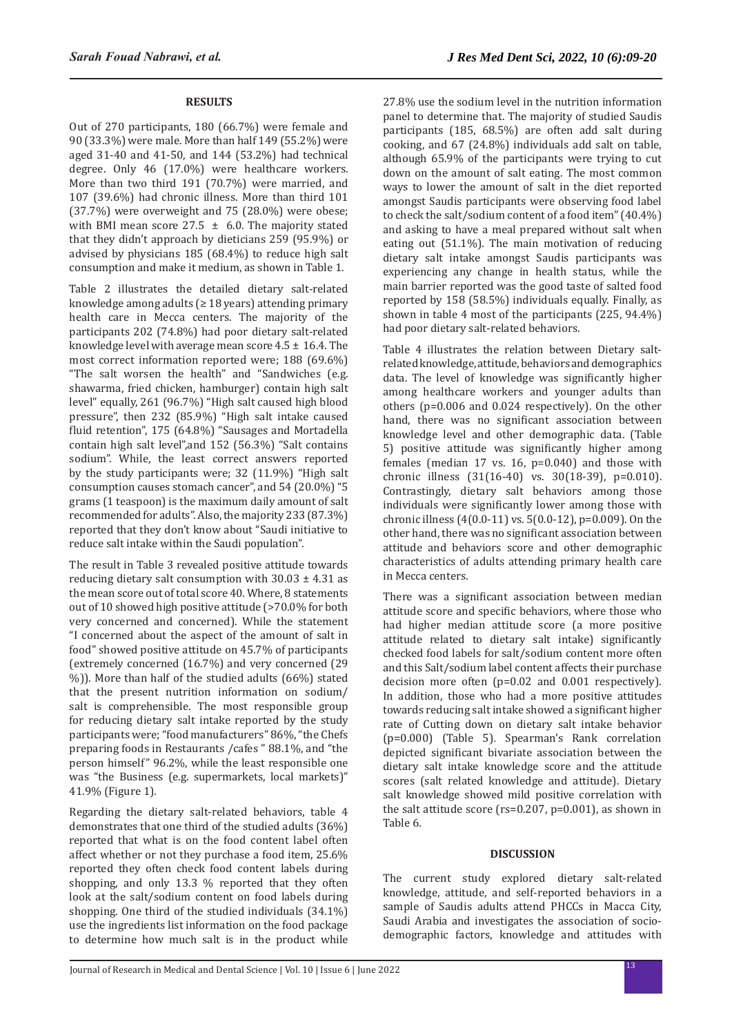# **RESULTS**

Out of 270 participants, 180 (66.7%) were female and 90 (33.3%) were male. More than half 149 (55.2%) were aged 31-40 and 41-50, and 144 (53.2%) had technical degree. Only 46 (17.0%) were healthcare workers. More than two third 191 (70.7%) were married, and 107 (39.6%) had chronic illness. More than third 101 (37.7%) were overweight and 75 (28.0%) were obese; with BMI mean score 27.5  $\pm$  6.0. The majority stated that they didn't approach by dieticians 259 (95.9%) or advised by physicians 185 (68.4%) to reduce high salt consumption and make it medium, as shown in Table 1.

Table 2 illustrates the detailed dietary salt-related knowledge among adults (≥ 18 years) attending primary health care in Mecca centers. The majority of the participants 202 (74.8%) had poor dietary salt-related knowledge level with average mean score  $4.5 \pm 16.4$ . The most correct information reported were; 188 (69.6%) "The salt worsen the health" and "Sandwiches (e.g. shawarma, fried chicken, hamburger) contain high salt level" equally, 261 (96.7%) "High salt caused high blood pressure", then 232 (85.9%) "High salt intake caused fluid retention", 175 (64.8%) "Sausages and Mortadella contain high salt level",and 152 (56.3%) "Salt contains sodium". While, the least correct answers reported by the study participants were; 32 (11.9%) "High salt consumption causes stomach cancer", and 54 (20.0%) "5 grams (1 teaspoon) is the maximum daily amount of salt recommended for adults". Also, the majority 233 (87.3%) reported that they don't know about "Saudi initiative to reduce salt intake within the Saudi population".

The result in Table 3 revealed positive attitude towards reducing dietary salt consumption with  $30.03 \pm 4.31$  as the mean score out of total score 40. Where, 8 statements out of 10 showed high positive attitude (>70.0% for both very concerned and concerned). While the statement "I concerned about the aspect of the amount of salt in food" showed positive attitude on 45.7% of participants (extremely concerned (16.7%) and very concerned (29 %)). More than half of the studied adults (66%) stated that the present nutrition information on sodium/ salt is comprehensible. The most responsible group for reducing dietary salt intake reported by the study participants were; "food manufacturers" 86%, "the Chefs preparing foods in Restaurants /cafes " 88.1%, and "the person himself" 96.2%, while the least responsible one was "the Business (e.g. supermarkets, local markets)" 41.9% (Figure 1).

Regarding the dietary salt-related behaviors, table 4 demonstrates that one third of the studied adults (36%) reported that what is on the food content label often affect whether or not they purchase a food item, 25.6% reported they often check food content labels during shopping, and only 13.3 % reported that they often look at the salt/sodium content on food labels during shopping. One third of the studied individuals (34.1%) use the ingredients list information on the food package to determine how much salt is in the product while 27.8% use the sodium level in the nutrition information panel to determine that. The majority of studied Saudis participants (185, 68.5%) are often add salt during cooking, and 67 (24.8%) individuals add salt on table, although 65.9% of the participants were trying to cut down on the amount of salt eating. The most common ways to lower the amount of salt in the diet reported amongst Saudis participants were observing food label to check the salt/sodium content of a food item" (40.4%) and asking to have a meal prepared without salt when eating out (51.1%). The main motivation of reducing dietary salt intake amongst Saudis participants was experiencing any change in health status, while the main barrier reported was the good taste of salted food reported by 158 (58.5%) individuals equally. Finally, as shown in table 4 most of the participants (225, 94.4%) had poor dietary salt-related behaviors.

Table 4 illustrates the relation between Dietary saltrelated knowledge, attitude, behaviors and demographics data. The level of knowledge was significantly higher among healthcare workers and younger adults than others (p=0.006 and 0.024 respectively). On the other hand, there was no significant association between knowledge level and other demographic data. (Table 5) positive attitude was significantly higher among females (median 17 vs. 16, p=0.040) and those with chronic illness (31(16-40) vs. 30(18-39), p=0.010). Contrastingly, dietary salt behaviors among those individuals were significantly lower among those with chronic illness (4(0.0-11) vs. 5(0.0-12), p=0.009). On the other hand, there was no significant association between attitude and behaviors score and other demographic characteristics of adults attending primary health care in Mecca centers.

There was a significant association between median attitude score and specific behaviors, where those who had higher median attitude score (a more positive attitude related to dietary salt intake) significantly checked food labels for salt/sodium content more often and this Salt/sodium label content affects their purchase decision more often (p=0.02 and 0.001 respectively). In addition, those who had a more positive attitudes towards reducing salt intake showed a significant higher rate of Cutting down on dietary salt intake behavior (p=0.000) (Table 5). Spearman's Rank correlation depicted significant bivariate association between the dietary salt intake knowledge score and the attitude scores (salt related knowledge and attitude). Dietary salt knowledge showed mild positive correlation with the salt attitude score (rs=0.207, p=0.001), as shown in Table 6.

## **DISCUSSION**

The current study explored dietary salt-related knowledge, attitude, and self-reported behaviors in a sample of Saudis adults attend PHCCs in Macca City, Saudi Arabia and investigates the association of sociodemographic factors, knowledge and attitudes with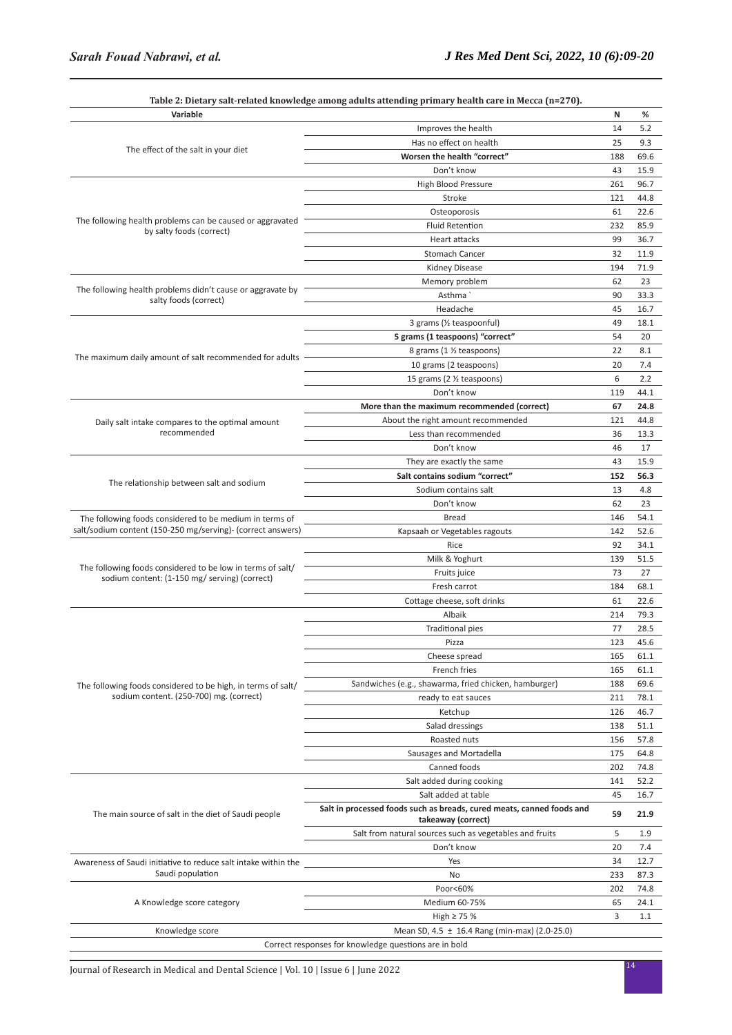| Improves the health<br>14<br>5.2<br>Has no effect on health<br>25<br>9.3<br>The effect of the salt in your diet<br>Worsen the health "correct"<br>188<br>69.6<br>43<br>Don't know<br>15.9<br>High Blood Pressure<br>261<br>96.7<br>Stroke<br>121<br>44.8<br>Osteoporosis<br>61<br>22.6<br>The following health problems can be caused or aggravated<br><b>Fluid Retention</b><br>232<br>85.9<br>by salty foods (correct)<br><b>Heart attacks</b><br>99<br>36.7<br>Stomach Cancer<br>32<br>11.9<br>Kidney Disease<br>194<br>71.9<br>62<br>23<br>Memory problem<br>The following health problems didn't cause or aggravate by<br>Asthma<br>90<br>33.3<br>salty foods (correct)<br>Headache<br>45<br>16.7<br>3 grams (1/2 teaspoonful)<br>49<br>18.1<br>5 grams (1 teaspoons) "correct"<br>54<br>20<br>8 grams (1 % teaspoons)<br>22<br>8.1<br>The maximum daily amount of salt recommended for adults<br>10 grams (2 teaspoons)<br>20<br>7.4<br>6<br>15 grams (2 1/2 teaspoons)<br>2.2<br>Don't know<br>119<br>44.1<br>More than the maximum recommended (correct)<br>67<br>24.8<br>About the right amount recommended<br>121<br>44.8<br>Daily salt intake compares to the optimal amount<br>recommended<br>Less than recommended<br>36<br>13.3<br>Don't know<br>46<br>17<br>15.9<br>They are exactly the same<br>43<br>Salt contains sodium "correct"<br>152<br>56.3<br>The relationship between salt and sodium<br>Sodium contains salt<br>13<br>4.8<br>Don't know<br>62<br>23<br>Bread<br>146<br>54.1<br>The following foods considered to be medium in terms of<br>salt/sodium content (150-250 mg/serving)- (correct answers)<br>Kapsaah or Vegetables ragouts<br>142<br>52.6<br>92<br>34.1<br>Rice<br>Milk & Yoghurt<br>139<br>51.5<br>The following foods considered to be low in terms of salt/<br>73<br>27<br>Fruits juice<br>sodium content: (1-150 mg/ serving) (correct)<br>Fresh carrot<br>184<br>68.1<br>Cottage cheese, soft drinks<br>61<br>22.6<br>79.3<br>Albaik<br>214<br><b>Traditional pies</b><br>77<br>28.5<br>123<br>45.6<br>Pizza<br>Cheese spread<br>165<br>61.1<br>French fries<br>165<br>61.1<br>Sandwiches (e.g., shawarma, fried chicken, hamburger)<br>188<br>69.6<br>The following foods considered to be high, in terms of salt/<br>sodium content. (250-700) mg. (correct)<br>ready to eat sauces<br>211<br>78.1<br>126<br>46.7<br>Ketchup<br>Salad dressings<br>138<br>51.1<br>Roasted nuts<br>156<br>57.8<br>Sausages and Mortadella<br>175<br>64.8<br>Canned foods<br>202<br>74.8<br>Salt added during cooking<br>141<br>52.2<br>45<br>Salt added at table<br>16.7<br>Salt in processed foods such as breads, cured meats, canned foods and<br>The main source of salt in the diet of Saudi people<br>59<br>21.9<br>takeaway (correct)<br>Salt from natural sources such as vegetables and fruits<br>5<br>1.9<br>20<br>7.4<br>Don't know<br>Yes<br>34<br>12.7<br>Awareness of Saudi initiative to reduce salt intake within the<br>Saudi population<br>233<br>87.3<br>No<br>Poor<60%<br>202<br>74.8<br>A Knowledge score category<br>Medium 60-75%<br>65<br>24.1<br>3<br>1.1<br>High $\geq$ 75 %<br>Knowledge score<br>Mean SD, 4.5 ± 16.4 Rang (min-max) (2.0-25.0)<br>Correct responses for knowledge questions are in bold | Variable |  | N | % |
|------------------------------------------------------------------------------------------------------------------------------------------------------------------------------------------------------------------------------------------------------------------------------------------------------------------------------------------------------------------------------------------------------------------------------------------------------------------------------------------------------------------------------------------------------------------------------------------------------------------------------------------------------------------------------------------------------------------------------------------------------------------------------------------------------------------------------------------------------------------------------------------------------------------------------------------------------------------------------------------------------------------------------------------------------------------------------------------------------------------------------------------------------------------------------------------------------------------------------------------------------------------------------------------------------------------------------------------------------------------------------------------------------------------------------------------------------------------------------------------------------------------------------------------------------------------------------------------------------------------------------------------------------------------------------------------------------------------------------------------------------------------------------------------------------------------------------------------------------------------------------------------------------------------------------------------------------------------------------------------------------------------------------------------------------------------------------------------------------------------------------------------------------------------------------------------------------------------------------------------------------------------------------------------------------------------------------------------------------------------------------------------------------------------------------------------------------------------------------------------------------------------------------------------------------------------------------------------------------------------------------------------------------------------------------------------------------------------------------------------------------------------------------------------------------------------------------------------------------------------------------------------------------------------------------------------------------------------------------------------------------------------------------------------------------------------------------------------------------------------------------------------------------------------------------------------------------------------------------------------------------------------|----------|--|---|---|
|                                                                                                                                                                                                                                                                                                                                                                                                                                                                                                                                                                                                                                                                                                                                                                                                                                                                                                                                                                                                                                                                                                                                                                                                                                                                                                                                                                                                                                                                                                                                                                                                                                                                                                                                                                                                                                                                                                                                                                                                                                                                                                                                                                                                                                                                                                                                                                                                                                                                                                                                                                                                                                                                                                                                                                                                                                                                                                                                                                                                                                                                                                                                                                                                                                                                  |          |  |   |   |
|                                                                                                                                                                                                                                                                                                                                                                                                                                                                                                                                                                                                                                                                                                                                                                                                                                                                                                                                                                                                                                                                                                                                                                                                                                                                                                                                                                                                                                                                                                                                                                                                                                                                                                                                                                                                                                                                                                                                                                                                                                                                                                                                                                                                                                                                                                                                                                                                                                                                                                                                                                                                                                                                                                                                                                                                                                                                                                                                                                                                                                                                                                                                                                                                                                                                  |          |  |   |   |
|                                                                                                                                                                                                                                                                                                                                                                                                                                                                                                                                                                                                                                                                                                                                                                                                                                                                                                                                                                                                                                                                                                                                                                                                                                                                                                                                                                                                                                                                                                                                                                                                                                                                                                                                                                                                                                                                                                                                                                                                                                                                                                                                                                                                                                                                                                                                                                                                                                                                                                                                                                                                                                                                                                                                                                                                                                                                                                                                                                                                                                                                                                                                                                                                                                                                  |          |  |   |   |
|                                                                                                                                                                                                                                                                                                                                                                                                                                                                                                                                                                                                                                                                                                                                                                                                                                                                                                                                                                                                                                                                                                                                                                                                                                                                                                                                                                                                                                                                                                                                                                                                                                                                                                                                                                                                                                                                                                                                                                                                                                                                                                                                                                                                                                                                                                                                                                                                                                                                                                                                                                                                                                                                                                                                                                                                                                                                                                                                                                                                                                                                                                                                                                                                                                                                  |          |  |   |   |
|                                                                                                                                                                                                                                                                                                                                                                                                                                                                                                                                                                                                                                                                                                                                                                                                                                                                                                                                                                                                                                                                                                                                                                                                                                                                                                                                                                                                                                                                                                                                                                                                                                                                                                                                                                                                                                                                                                                                                                                                                                                                                                                                                                                                                                                                                                                                                                                                                                                                                                                                                                                                                                                                                                                                                                                                                                                                                                                                                                                                                                                                                                                                                                                                                                                                  |          |  |   |   |
|                                                                                                                                                                                                                                                                                                                                                                                                                                                                                                                                                                                                                                                                                                                                                                                                                                                                                                                                                                                                                                                                                                                                                                                                                                                                                                                                                                                                                                                                                                                                                                                                                                                                                                                                                                                                                                                                                                                                                                                                                                                                                                                                                                                                                                                                                                                                                                                                                                                                                                                                                                                                                                                                                                                                                                                                                                                                                                                                                                                                                                                                                                                                                                                                                                                                  |          |  |   |   |
|                                                                                                                                                                                                                                                                                                                                                                                                                                                                                                                                                                                                                                                                                                                                                                                                                                                                                                                                                                                                                                                                                                                                                                                                                                                                                                                                                                                                                                                                                                                                                                                                                                                                                                                                                                                                                                                                                                                                                                                                                                                                                                                                                                                                                                                                                                                                                                                                                                                                                                                                                                                                                                                                                                                                                                                                                                                                                                                                                                                                                                                                                                                                                                                                                                                                  |          |  |   |   |
|                                                                                                                                                                                                                                                                                                                                                                                                                                                                                                                                                                                                                                                                                                                                                                                                                                                                                                                                                                                                                                                                                                                                                                                                                                                                                                                                                                                                                                                                                                                                                                                                                                                                                                                                                                                                                                                                                                                                                                                                                                                                                                                                                                                                                                                                                                                                                                                                                                                                                                                                                                                                                                                                                                                                                                                                                                                                                                                                                                                                                                                                                                                                                                                                                                                                  |          |  |   |   |
|                                                                                                                                                                                                                                                                                                                                                                                                                                                                                                                                                                                                                                                                                                                                                                                                                                                                                                                                                                                                                                                                                                                                                                                                                                                                                                                                                                                                                                                                                                                                                                                                                                                                                                                                                                                                                                                                                                                                                                                                                                                                                                                                                                                                                                                                                                                                                                                                                                                                                                                                                                                                                                                                                                                                                                                                                                                                                                                                                                                                                                                                                                                                                                                                                                                                  |          |  |   |   |
|                                                                                                                                                                                                                                                                                                                                                                                                                                                                                                                                                                                                                                                                                                                                                                                                                                                                                                                                                                                                                                                                                                                                                                                                                                                                                                                                                                                                                                                                                                                                                                                                                                                                                                                                                                                                                                                                                                                                                                                                                                                                                                                                                                                                                                                                                                                                                                                                                                                                                                                                                                                                                                                                                                                                                                                                                                                                                                                                                                                                                                                                                                                                                                                                                                                                  |          |  |   |   |
|                                                                                                                                                                                                                                                                                                                                                                                                                                                                                                                                                                                                                                                                                                                                                                                                                                                                                                                                                                                                                                                                                                                                                                                                                                                                                                                                                                                                                                                                                                                                                                                                                                                                                                                                                                                                                                                                                                                                                                                                                                                                                                                                                                                                                                                                                                                                                                                                                                                                                                                                                                                                                                                                                                                                                                                                                                                                                                                                                                                                                                                                                                                                                                                                                                                                  |          |  |   |   |
|                                                                                                                                                                                                                                                                                                                                                                                                                                                                                                                                                                                                                                                                                                                                                                                                                                                                                                                                                                                                                                                                                                                                                                                                                                                                                                                                                                                                                                                                                                                                                                                                                                                                                                                                                                                                                                                                                                                                                                                                                                                                                                                                                                                                                                                                                                                                                                                                                                                                                                                                                                                                                                                                                                                                                                                                                                                                                                                                                                                                                                                                                                                                                                                                                                                                  |          |  |   |   |
|                                                                                                                                                                                                                                                                                                                                                                                                                                                                                                                                                                                                                                                                                                                                                                                                                                                                                                                                                                                                                                                                                                                                                                                                                                                                                                                                                                                                                                                                                                                                                                                                                                                                                                                                                                                                                                                                                                                                                                                                                                                                                                                                                                                                                                                                                                                                                                                                                                                                                                                                                                                                                                                                                                                                                                                                                                                                                                                                                                                                                                                                                                                                                                                                                                                                  |          |  |   |   |
|                                                                                                                                                                                                                                                                                                                                                                                                                                                                                                                                                                                                                                                                                                                                                                                                                                                                                                                                                                                                                                                                                                                                                                                                                                                                                                                                                                                                                                                                                                                                                                                                                                                                                                                                                                                                                                                                                                                                                                                                                                                                                                                                                                                                                                                                                                                                                                                                                                                                                                                                                                                                                                                                                                                                                                                                                                                                                                                                                                                                                                                                                                                                                                                                                                                                  |          |  |   |   |
|                                                                                                                                                                                                                                                                                                                                                                                                                                                                                                                                                                                                                                                                                                                                                                                                                                                                                                                                                                                                                                                                                                                                                                                                                                                                                                                                                                                                                                                                                                                                                                                                                                                                                                                                                                                                                                                                                                                                                                                                                                                                                                                                                                                                                                                                                                                                                                                                                                                                                                                                                                                                                                                                                                                                                                                                                                                                                                                                                                                                                                                                                                                                                                                                                                                                  |          |  |   |   |
|                                                                                                                                                                                                                                                                                                                                                                                                                                                                                                                                                                                                                                                                                                                                                                                                                                                                                                                                                                                                                                                                                                                                                                                                                                                                                                                                                                                                                                                                                                                                                                                                                                                                                                                                                                                                                                                                                                                                                                                                                                                                                                                                                                                                                                                                                                                                                                                                                                                                                                                                                                                                                                                                                                                                                                                                                                                                                                                                                                                                                                                                                                                                                                                                                                                                  |          |  |   |   |
|                                                                                                                                                                                                                                                                                                                                                                                                                                                                                                                                                                                                                                                                                                                                                                                                                                                                                                                                                                                                                                                                                                                                                                                                                                                                                                                                                                                                                                                                                                                                                                                                                                                                                                                                                                                                                                                                                                                                                                                                                                                                                                                                                                                                                                                                                                                                                                                                                                                                                                                                                                                                                                                                                                                                                                                                                                                                                                                                                                                                                                                                                                                                                                                                                                                                  |          |  |   |   |
|                                                                                                                                                                                                                                                                                                                                                                                                                                                                                                                                                                                                                                                                                                                                                                                                                                                                                                                                                                                                                                                                                                                                                                                                                                                                                                                                                                                                                                                                                                                                                                                                                                                                                                                                                                                                                                                                                                                                                                                                                                                                                                                                                                                                                                                                                                                                                                                                                                                                                                                                                                                                                                                                                                                                                                                                                                                                                                                                                                                                                                                                                                                                                                                                                                                                  |          |  |   |   |
|                                                                                                                                                                                                                                                                                                                                                                                                                                                                                                                                                                                                                                                                                                                                                                                                                                                                                                                                                                                                                                                                                                                                                                                                                                                                                                                                                                                                                                                                                                                                                                                                                                                                                                                                                                                                                                                                                                                                                                                                                                                                                                                                                                                                                                                                                                                                                                                                                                                                                                                                                                                                                                                                                                                                                                                                                                                                                                                                                                                                                                                                                                                                                                                                                                                                  |          |  |   |   |
|                                                                                                                                                                                                                                                                                                                                                                                                                                                                                                                                                                                                                                                                                                                                                                                                                                                                                                                                                                                                                                                                                                                                                                                                                                                                                                                                                                                                                                                                                                                                                                                                                                                                                                                                                                                                                                                                                                                                                                                                                                                                                                                                                                                                                                                                                                                                                                                                                                                                                                                                                                                                                                                                                                                                                                                                                                                                                                                                                                                                                                                                                                                                                                                                                                                                  |          |  |   |   |
|                                                                                                                                                                                                                                                                                                                                                                                                                                                                                                                                                                                                                                                                                                                                                                                                                                                                                                                                                                                                                                                                                                                                                                                                                                                                                                                                                                                                                                                                                                                                                                                                                                                                                                                                                                                                                                                                                                                                                                                                                                                                                                                                                                                                                                                                                                                                                                                                                                                                                                                                                                                                                                                                                                                                                                                                                                                                                                                                                                                                                                                                                                                                                                                                                                                                  |          |  |   |   |
|                                                                                                                                                                                                                                                                                                                                                                                                                                                                                                                                                                                                                                                                                                                                                                                                                                                                                                                                                                                                                                                                                                                                                                                                                                                                                                                                                                                                                                                                                                                                                                                                                                                                                                                                                                                                                                                                                                                                                                                                                                                                                                                                                                                                                                                                                                                                                                                                                                                                                                                                                                                                                                                                                                                                                                                                                                                                                                                                                                                                                                                                                                                                                                                                                                                                  |          |  |   |   |
|                                                                                                                                                                                                                                                                                                                                                                                                                                                                                                                                                                                                                                                                                                                                                                                                                                                                                                                                                                                                                                                                                                                                                                                                                                                                                                                                                                                                                                                                                                                                                                                                                                                                                                                                                                                                                                                                                                                                                                                                                                                                                                                                                                                                                                                                                                                                                                                                                                                                                                                                                                                                                                                                                                                                                                                                                                                                                                                                                                                                                                                                                                                                                                                                                                                                  |          |  |   |   |
|                                                                                                                                                                                                                                                                                                                                                                                                                                                                                                                                                                                                                                                                                                                                                                                                                                                                                                                                                                                                                                                                                                                                                                                                                                                                                                                                                                                                                                                                                                                                                                                                                                                                                                                                                                                                                                                                                                                                                                                                                                                                                                                                                                                                                                                                                                                                                                                                                                                                                                                                                                                                                                                                                                                                                                                                                                                                                                                                                                                                                                                                                                                                                                                                                                                                  |          |  |   |   |
|                                                                                                                                                                                                                                                                                                                                                                                                                                                                                                                                                                                                                                                                                                                                                                                                                                                                                                                                                                                                                                                                                                                                                                                                                                                                                                                                                                                                                                                                                                                                                                                                                                                                                                                                                                                                                                                                                                                                                                                                                                                                                                                                                                                                                                                                                                                                                                                                                                                                                                                                                                                                                                                                                                                                                                                                                                                                                                                                                                                                                                                                                                                                                                                                                                                                  |          |  |   |   |
|                                                                                                                                                                                                                                                                                                                                                                                                                                                                                                                                                                                                                                                                                                                                                                                                                                                                                                                                                                                                                                                                                                                                                                                                                                                                                                                                                                                                                                                                                                                                                                                                                                                                                                                                                                                                                                                                                                                                                                                                                                                                                                                                                                                                                                                                                                                                                                                                                                                                                                                                                                                                                                                                                                                                                                                                                                                                                                                                                                                                                                                                                                                                                                                                                                                                  |          |  |   |   |
|                                                                                                                                                                                                                                                                                                                                                                                                                                                                                                                                                                                                                                                                                                                                                                                                                                                                                                                                                                                                                                                                                                                                                                                                                                                                                                                                                                                                                                                                                                                                                                                                                                                                                                                                                                                                                                                                                                                                                                                                                                                                                                                                                                                                                                                                                                                                                                                                                                                                                                                                                                                                                                                                                                                                                                                                                                                                                                                                                                                                                                                                                                                                                                                                                                                                  |          |  |   |   |
|                                                                                                                                                                                                                                                                                                                                                                                                                                                                                                                                                                                                                                                                                                                                                                                                                                                                                                                                                                                                                                                                                                                                                                                                                                                                                                                                                                                                                                                                                                                                                                                                                                                                                                                                                                                                                                                                                                                                                                                                                                                                                                                                                                                                                                                                                                                                                                                                                                                                                                                                                                                                                                                                                                                                                                                                                                                                                                                                                                                                                                                                                                                                                                                                                                                                  |          |  |   |   |
|                                                                                                                                                                                                                                                                                                                                                                                                                                                                                                                                                                                                                                                                                                                                                                                                                                                                                                                                                                                                                                                                                                                                                                                                                                                                                                                                                                                                                                                                                                                                                                                                                                                                                                                                                                                                                                                                                                                                                                                                                                                                                                                                                                                                                                                                                                                                                                                                                                                                                                                                                                                                                                                                                                                                                                                                                                                                                                                                                                                                                                                                                                                                                                                                                                                                  |          |  |   |   |
|                                                                                                                                                                                                                                                                                                                                                                                                                                                                                                                                                                                                                                                                                                                                                                                                                                                                                                                                                                                                                                                                                                                                                                                                                                                                                                                                                                                                                                                                                                                                                                                                                                                                                                                                                                                                                                                                                                                                                                                                                                                                                                                                                                                                                                                                                                                                                                                                                                                                                                                                                                                                                                                                                                                                                                                                                                                                                                                                                                                                                                                                                                                                                                                                                                                                  |          |  |   |   |
|                                                                                                                                                                                                                                                                                                                                                                                                                                                                                                                                                                                                                                                                                                                                                                                                                                                                                                                                                                                                                                                                                                                                                                                                                                                                                                                                                                                                                                                                                                                                                                                                                                                                                                                                                                                                                                                                                                                                                                                                                                                                                                                                                                                                                                                                                                                                                                                                                                                                                                                                                                                                                                                                                                                                                                                                                                                                                                                                                                                                                                                                                                                                                                                                                                                                  |          |  |   |   |
|                                                                                                                                                                                                                                                                                                                                                                                                                                                                                                                                                                                                                                                                                                                                                                                                                                                                                                                                                                                                                                                                                                                                                                                                                                                                                                                                                                                                                                                                                                                                                                                                                                                                                                                                                                                                                                                                                                                                                                                                                                                                                                                                                                                                                                                                                                                                                                                                                                                                                                                                                                                                                                                                                                                                                                                                                                                                                                                                                                                                                                                                                                                                                                                                                                                                  |          |  |   |   |
|                                                                                                                                                                                                                                                                                                                                                                                                                                                                                                                                                                                                                                                                                                                                                                                                                                                                                                                                                                                                                                                                                                                                                                                                                                                                                                                                                                                                                                                                                                                                                                                                                                                                                                                                                                                                                                                                                                                                                                                                                                                                                                                                                                                                                                                                                                                                                                                                                                                                                                                                                                                                                                                                                                                                                                                                                                                                                                                                                                                                                                                                                                                                                                                                                                                                  |          |  |   |   |
|                                                                                                                                                                                                                                                                                                                                                                                                                                                                                                                                                                                                                                                                                                                                                                                                                                                                                                                                                                                                                                                                                                                                                                                                                                                                                                                                                                                                                                                                                                                                                                                                                                                                                                                                                                                                                                                                                                                                                                                                                                                                                                                                                                                                                                                                                                                                                                                                                                                                                                                                                                                                                                                                                                                                                                                                                                                                                                                                                                                                                                                                                                                                                                                                                                                                  |          |  |   |   |
|                                                                                                                                                                                                                                                                                                                                                                                                                                                                                                                                                                                                                                                                                                                                                                                                                                                                                                                                                                                                                                                                                                                                                                                                                                                                                                                                                                                                                                                                                                                                                                                                                                                                                                                                                                                                                                                                                                                                                                                                                                                                                                                                                                                                                                                                                                                                                                                                                                                                                                                                                                                                                                                                                                                                                                                                                                                                                                                                                                                                                                                                                                                                                                                                                                                                  |          |  |   |   |
|                                                                                                                                                                                                                                                                                                                                                                                                                                                                                                                                                                                                                                                                                                                                                                                                                                                                                                                                                                                                                                                                                                                                                                                                                                                                                                                                                                                                                                                                                                                                                                                                                                                                                                                                                                                                                                                                                                                                                                                                                                                                                                                                                                                                                                                                                                                                                                                                                                                                                                                                                                                                                                                                                                                                                                                                                                                                                                                                                                                                                                                                                                                                                                                                                                                                  |          |  |   |   |
|                                                                                                                                                                                                                                                                                                                                                                                                                                                                                                                                                                                                                                                                                                                                                                                                                                                                                                                                                                                                                                                                                                                                                                                                                                                                                                                                                                                                                                                                                                                                                                                                                                                                                                                                                                                                                                                                                                                                                                                                                                                                                                                                                                                                                                                                                                                                                                                                                                                                                                                                                                                                                                                                                                                                                                                                                                                                                                                                                                                                                                                                                                                                                                                                                                                                  |          |  |   |   |
|                                                                                                                                                                                                                                                                                                                                                                                                                                                                                                                                                                                                                                                                                                                                                                                                                                                                                                                                                                                                                                                                                                                                                                                                                                                                                                                                                                                                                                                                                                                                                                                                                                                                                                                                                                                                                                                                                                                                                                                                                                                                                                                                                                                                                                                                                                                                                                                                                                                                                                                                                                                                                                                                                                                                                                                                                                                                                                                                                                                                                                                                                                                                                                                                                                                                  |          |  |   |   |
|                                                                                                                                                                                                                                                                                                                                                                                                                                                                                                                                                                                                                                                                                                                                                                                                                                                                                                                                                                                                                                                                                                                                                                                                                                                                                                                                                                                                                                                                                                                                                                                                                                                                                                                                                                                                                                                                                                                                                                                                                                                                                                                                                                                                                                                                                                                                                                                                                                                                                                                                                                                                                                                                                                                                                                                                                                                                                                                                                                                                                                                                                                                                                                                                                                                                  |          |  |   |   |
|                                                                                                                                                                                                                                                                                                                                                                                                                                                                                                                                                                                                                                                                                                                                                                                                                                                                                                                                                                                                                                                                                                                                                                                                                                                                                                                                                                                                                                                                                                                                                                                                                                                                                                                                                                                                                                                                                                                                                                                                                                                                                                                                                                                                                                                                                                                                                                                                                                                                                                                                                                                                                                                                                                                                                                                                                                                                                                                                                                                                                                                                                                                                                                                                                                                                  |          |  |   |   |
|                                                                                                                                                                                                                                                                                                                                                                                                                                                                                                                                                                                                                                                                                                                                                                                                                                                                                                                                                                                                                                                                                                                                                                                                                                                                                                                                                                                                                                                                                                                                                                                                                                                                                                                                                                                                                                                                                                                                                                                                                                                                                                                                                                                                                                                                                                                                                                                                                                                                                                                                                                                                                                                                                                                                                                                                                                                                                                                                                                                                                                                                                                                                                                                                                                                                  |          |  |   |   |
|                                                                                                                                                                                                                                                                                                                                                                                                                                                                                                                                                                                                                                                                                                                                                                                                                                                                                                                                                                                                                                                                                                                                                                                                                                                                                                                                                                                                                                                                                                                                                                                                                                                                                                                                                                                                                                                                                                                                                                                                                                                                                                                                                                                                                                                                                                                                                                                                                                                                                                                                                                                                                                                                                                                                                                                                                                                                                                                                                                                                                                                                                                                                                                                                                                                                  |          |  |   |   |
|                                                                                                                                                                                                                                                                                                                                                                                                                                                                                                                                                                                                                                                                                                                                                                                                                                                                                                                                                                                                                                                                                                                                                                                                                                                                                                                                                                                                                                                                                                                                                                                                                                                                                                                                                                                                                                                                                                                                                                                                                                                                                                                                                                                                                                                                                                                                                                                                                                                                                                                                                                                                                                                                                                                                                                                                                                                                                                                                                                                                                                                                                                                                                                                                                                                                  |          |  |   |   |
|                                                                                                                                                                                                                                                                                                                                                                                                                                                                                                                                                                                                                                                                                                                                                                                                                                                                                                                                                                                                                                                                                                                                                                                                                                                                                                                                                                                                                                                                                                                                                                                                                                                                                                                                                                                                                                                                                                                                                                                                                                                                                                                                                                                                                                                                                                                                                                                                                                                                                                                                                                                                                                                                                                                                                                                                                                                                                                                                                                                                                                                                                                                                                                                                                                                                  |          |  |   |   |
|                                                                                                                                                                                                                                                                                                                                                                                                                                                                                                                                                                                                                                                                                                                                                                                                                                                                                                                                                                                                                                                                                                                                                                                                                                                                                                                                                                                                                                                                                                                                                                                                                                                                                                                                                                                                                                                                                                                                                                                                                                                                                                                                                                                                                                                                                                                                                                                                                                                                                                                                                                                                                                                                                                                                                                                                                                                                                                                                                                                                                                                                                                                                                                                                                                                                  |          |  |   |   |
|                                                                                                                                                                                                                                                                                                                                                                                                                                                                                                                                                                                                                                                                                                                                                                                                                                                                                                                                                                                                                                                                                                                                                                                                                                                                                                                                                                                                                                                                                                                                                                                                                                                                                                                                                                                                                                                                                                                                                                                                                                                                                                                                                                                                                                                                                                                                                                                                                                                                                                                                                                                                                                                                                                                                                                                                                                                                                                                                                                                                                                                                                                                                                                                                                                                                  |          |  |   |   |
|                                                                                                                                                                                                                                                                                                                                                                                                                                                                                                                                                                                                                                                                                                                                                                                                                                                                                                                                                                                                                                                                                                                                                                                                                                                                                                                                                                                                                                                                                                                                                                                                                                                                                                                                                                                                                                                                                                                                                                                                                                                                                                                                                                                                                                                                                                                                                                                                                                                                                                                                                                                                                                                                                                                                                                                                                                                                                                                                                                                                                                                                                                                                                                                                                                                                  |          |  |   |   |
|                                                                                                                                                                                                                                                                                                                                                                                                                                                                                                                                                                                                                                                                                                                                                                                                                                                                                                                                                                                                                                                                                                                                                                                                                                                                                                                                                                                                                                                                                                                                                                                                                                                                                                                                                                                                                                                                                                                                                                                                                                                                                                                                                                                                                                                                                                                                                                                                                                                                                                                                                                                                                                                                                                                                                                                                                                                                                                                                                                                                                                                                                                                                                                                                                                                                  |          |  |   |   |
|                                                                                                                                                                                                                                                                                                                                                                                                                                                                                                                                                                                                                                                                                                                                                                                                                                                                                                                                                                                                                                                                                                                                                                                                                                                                                                                                                                                                                                                                                                                                                                                                                                                                                                                                                                                                                                                                                                                                                                                                                                                                                                                                                                                                                                                                                                                                                                                                                                                                                                                                                                                                                                                                                                                                                                                                                                                                                                                                                                                                                                                                                                                                                                                                                                                                  |          |  |   |   |
|                                                                                                                                                                                                                                                                                                                                                                                                                                                                                                                                                                                                                                                                                                                                                                                                                                                                                                                                                                                                                                                                                                                                                                                                                                                                                                                                                                                                                                                                                                                                                                                                                                                                                                                                                                                                                                                                                                                                                                                                                                                                                                                                                                                                                                                                                                                                                                                                                                                                                                                                                                                                                                                                                                                                                                                                                                                                                                                                                                                                                                                                                                                                                                                                                                                                  |          |  |   |   |
|                                                                                                                                                                                                                                                                                                                                                                                                                                                                                                                                                                                                                                                                                                                                                                                                                                                                                                                                                                                                                                                                                                                                                                                                                                                                                                                                                                                                                                                                                                                                                                                                                                                                                                                                                                                                                                                                                                                                                                                                                                                                                                                                                                                                                                                                                                                                                                                                                                                                                                                                                                                                                                                                                                                                                                                                                                                                                                                                                                                                                                                                                                                                                                                                                                                                  |          |  |   |   |
|                                                                                                                                                                                                                                                                                                                                                                                                                                                                                                                                                                                                                                                                                                                                                                                                                                                                                                                                                                                                                                                                                                                                                                                                                                                                                                                                                                                                                                                                                                                                                                                                                                                                                                                                                                                                                                                                                                                                                                                                                                                                                                                                                                                                                                                                                                                                                                                                                                                                                                                                                                                                                                                                                                                                                                                                                                                                                                                                                                                                                                                                                                                                                                                                                                                                  |          |  |   |   |
|                                                                                                                                                                                                                                                                                                                                                                                                                                                                                                                                                                                                                                                                                                                                                                                                                                                                                                                                                                                                                                                                                                                                                                                                                                                                                                                                                                                                                                                                                                                                                                                                                                                                                                                                                                                                                                                                                                                                                                                                                                                                                                                                                                                                                                                                                                                                                                                                                                                                                                                                                                                                                                                                                                                                                                                                                                                                                                                                                                                                                                                                                                                                                                                                                                                                  |          |  |   |   |
|                                                                                                                                                                                                                                                                                                                                                                                                                                                                                                                                                                                                                                                                                                                                                                                                                                                                                                                                                                                                                                                                                                                                                                                                                                                                                                                                                                                                                                                                                                                                                                                                                                                                                                                                                                                                                                                                                                                                                                                                                                                                                                                                                                                                                                                                                                                                                                                                                                                                                                                                                                                                                                                                                                                                                                                                                                                                                                                                                                                                                                                                                                                                                                                                                                                                  |          |  |   |   |
|                                                                                                                                                                                                                                                                                                                                                                                                                                                                                                                                                                                                                                                                                                                                                                                                                                                                                                                                                                                                                                                                                                                                                                                                                                                                                                                                                                                                                                                                                                                                                                                                                                                                                                                                                                                                                                                                                                                                                                                                                                                                                                                                                                                                                                                                                                                                                                                                                                                                                                                                                                                                                                                                                                                                                                                                                                                                                                                                                                                                                                                                                                                                                                                                                                                                  |          |  |   |   |
|                                                                                                                                                                                                                                                                                                                                                                                                                                                                                                                                                                                                                                                                                                                                                                                                                                                                                                                                                                                                                                                                                                                                                                                                                                                                                                                                                                                                                                                                                                                                                                                                                                                                                                                                                                                                                                                                                                                                                                                                                                                                                                                                                                                                                                                                                                                                                                                                                                                                                                                                                                                                                                                                                                                                                                                                                                                                                                                                                                                                                                                                                                                                                                                                                                                                  |          |  |   |   |
|                                                                                                                                                                                                                                                                                                                                                                                                                                                                                                                                                                                                                                                                                                                                                                                                                                                                                                                                                                                                                                                                                                                                                                                                                                                                                                                                                                                                                                                                                                                                                                                                                                                                                                                                                                                                                                                                                                                                                                                                                                                                                                                                                                                                                                                                                                                                                                                                                                                                                                                                                                                                                                                                                                                                                                                                                                                                                                                                                                                                                                                                                                                                                                                                                                                                  |          |  |   |   |
|                                                                                                                                                                                                                                                                                                                                                                                                                                                                                                                                                                                                                                                                                                                                                                                                                                                                                                                                                                                                                                                                                                                                                                                                                                                                                                                                                                                                                                                                                                                                                                                                                                                                                                                                                                                                                                                                                                                                                                                                                                                                                                                                                                                                                                                                                                                                                                                                                                                                                                                                                                                                                                                                                                                                                                                                                                                                                                                                                                                                                                                                                                                                                                                                                                                                  |          |  |   |   |
|                                                                                                                                                                                                                                                                                                                                                                                                                                                                                                                                                                                                                                                                                                                                                                                                                                                                                                                                                                                                                                                                                                                                                                                                                                                                                                                                                                                                                                                                                                                                                                                                                                                                                                                                                                                                                                                                                                                                                                                                                                                                                                                                                                                                                                                                                                                                                                                                                                                                                                                                                                                                                                                                                                                                                                                                                                                                                                                                                                                                                                                                                                                                                                                                                                                                  |          |  |   |   |

<sup>14</sup> Journal of Research in Medical and Dental Science | Vol. 10 | Issue 6 | June 2022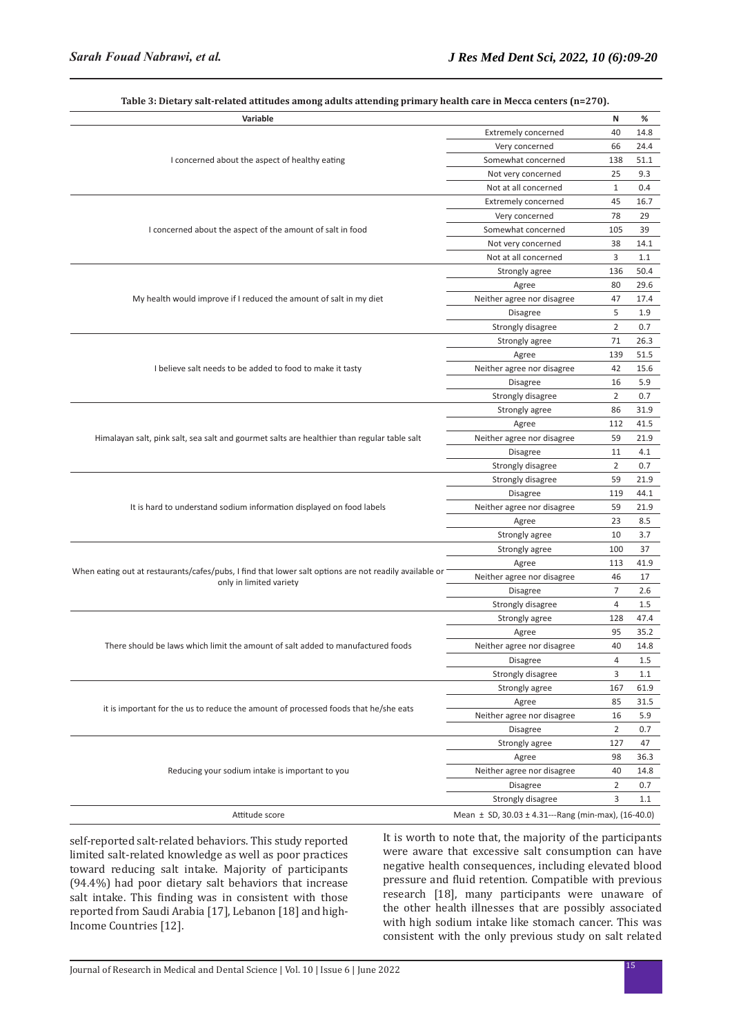| Table 5. Dietal y salt-Felateu attituues alliolig auults attenumg primal y health cal e in Metta tenters (h–270).<br>Variable     |                                                             | Ν              | ℅    |
|-----------------------------------------------------------------------------------------------------------------------------------|-------------------------------------------------------------|----------------|------|
|                                                                                                                                   | <b>Extremely concerned</b>                                  | 40             | 14.8 |
|                                                                                                                                   | Very concerned                                              | 66             | 24.4 |
| I concerned about the aspect of healthy eating                                                                                    | Somewhat concerned                                          | 138            | 51.1 |
|                                                                                                                                   | Not very concerned                                          | 25             | 9.3  |
|                                                                                                                                   | Not at all concerned                                        | $\mathbf{1}$   | 0.4  |
|                                                                                                                                   | Extremely concerned                                         | 45             | 16.7 |
|                                                                                                                                   | Very concerned                                              | 78             | 29   |
| I concerned about the aspect of the amount of salt in food                                                                        | Somewhat concerned                                          | 105            | 39   |
|                                                                                                                                   | Not very concerned                                          | 38             | 14.1 |
|                                                                                                                                   | Not at all concerned                                        | 3              | 1.1  |
|                                                                                                                                   | Strongly agree                                              | 136            | 50.4 |
|                                                                                                                                   | Agree                                                       | 80             | 29.6 |
| My health would improve if I reduced the amount of salt in my diet                                                                | Neither agree nor disagree                                  | 47             | 17.4 |
|                                                                                                                                   | Disagree                                                    | 5              | 1.9  |
|                                                                                                                                   | Strongly disagree                                           | $\overline{2}$ | 0.7  |
|                                                                                                                                   | Strongly agree                                              | 71             | 26.3 |
|                                                                                                                                   | Agree                                                       | 139            | 51.5 |
| I believe salt needs to be added to food to make it tasty                                                                         | Neither agree nor disagree                                  | 42             | 15.6 |
|                                                                                                                                   | <b>Disagree</b>                                             | 16             | 5.9  |
|                                                                                                                                   | Strongly disagree                                           | 2              | 0.7  |
|                                                                                                                                   | Strongly agree                                              | 86             | 31.9 |
|                                                                                                                                   | Agree                                                       | 112            | 41.5 |
| Himalayan salt, pink salt, sea salt and gourmet salts are healthier than regular table salt                                       | Neither agree nor disagree                                  | 59             | 21.9 |
|                                                                                                                                   | <b>Disagree</b>                                             | 11             | 4.1  |
|                                                                                                                                   | Strongly disagree                                           | 2              | 0.7  |
|                                                                                                                                   | Strongly disagree                                           | 59             | 21.9 |
|                                                                                                                                   | Disagree                                                    | 119            | 44.1 |
| It is hard to understand sodium information displayed on food labels                                                              | Neither agree nor disagree                                  | 59             | 21.9 |
|                                                                                                                                   | Agree                                                       | 23             | 8.5  |
|                                                                                                                                   | Strongly agree                                              | 10             | 3.7  |
|                                                                                                                                   | Strongly agree                                              | 100            | 37   |
|                                                                                                                                   | Agree                                                       | 113            | 41.9 |
| When eating out at restaurants/cafes/pubs, I find that lower salt options are not readily available or<br>only in limited variety | Neither agree nor disagree                                  | 46             | 17   |
|                                                                                                                                   | <b>Disagree</b>                                             | $\overline{7}$ | 2.6  |
|                                                                                                                                   | Strongly disagree                                           | 4              | 1.5  |
|                                                                                                                                   | Strongly agree                                              | 128            | 47.4 |
|                                                                                                                                   | Agree                                                       | 95             | 35.2 |
| There should be laws which limit the amount of salt added to manufactured foods                                                   | Neither agree nor disagree                                  | 40             | 14.8 |
|                                                                                                                                   | Disagree                                                    | 4              | 1.5  |
|                                                                                                                                   | Strongly disagree                                           | 3              | 1.1  |
|                                                                                                                                   | Strongly agree                                              | 167            | 61.9 |
| it is important for the us to reduce the amount of processed foods that he/she eats                                               | Agree                                                       | 85             | 31.5 |
|                                                                                                                                   | Neither agree nor disagree                                  | 16             | 5.9  |
|                                                                                                                                   | Disagree                                                    | 2              | 0.7  |
|                                                                                                                                   | Strongly agree                                              | 127            | 47   |
|                                                                                                                                   | Agree                                                       | 98             | 36.3 |
| Reducing your sodium intake is important to you                                                                                   | Neither agree nor disagree                                  | 40             | 14.8 |
|                                                                                                                                   | Disagree                                                    | 2              | 0.7  |
|                                                                                                                                   | Strongly disagree                                           | 3              | 1.1  |
| Attitude score                                                                                                                    | Mean $\pm$ SD, 30.03 $\pm$ 4.31---Rang (min-max), (16-40.0) |                |      |

**Table 3: Dietary salt-related attitudes among adults attending primary health care in Mecca centers (n=270).**

self-reported salt-related behaviors. This study reported limited salt-related knowledge as well as poor practices toward reducing salt intake. Majority of participants (94.4%) had poor dietary salt behaviors that increase salt intake. This finding was in consistent with those reported from Saudi Arabia [17], Lebanon [18] and high-Income Countries [12].

It is worth to note that, the majority of the participants were aware that excessive salt consumption can have negative health consequences, including elevated blood pressure and fluid retention. Compatible with previous research [18], many participants were unaware of the other health illnesses that are possibly associated with high sodium intake like stomach cancer. This was consistent with the only previous study on salt related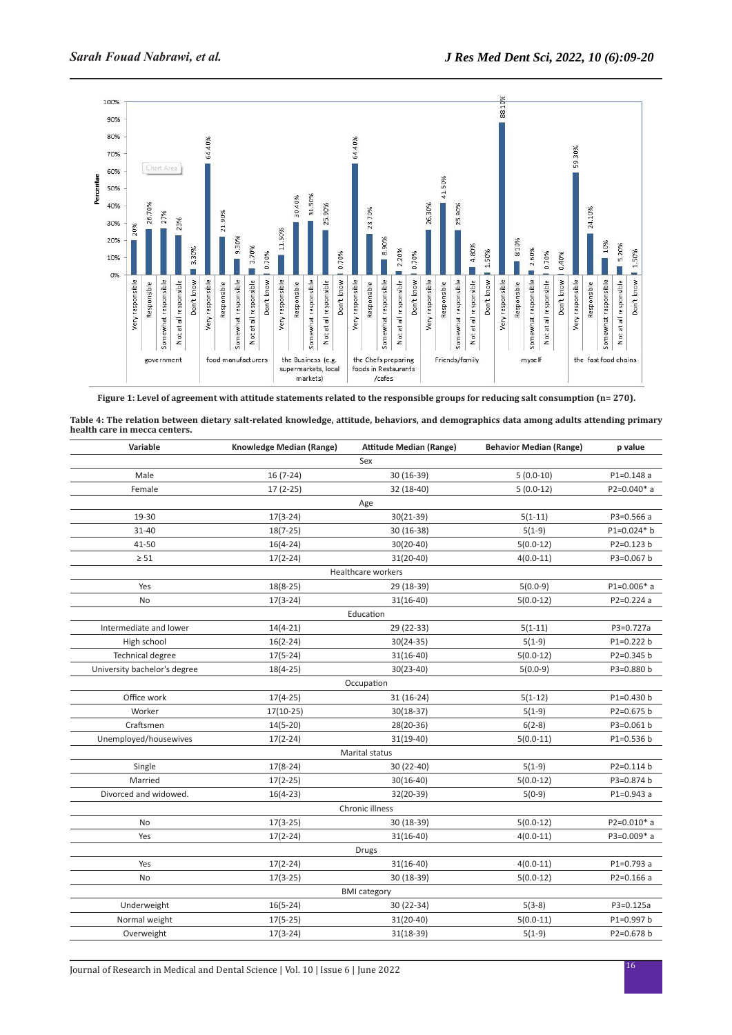

**Figure 1: Level of agreement with attitude statements related to the responsible groups for reducing salt consumption (n= 270).**

| Table 4: The relation between dietary salt-related knowledge, attitude, behaviors, and demographics data among adults attending primary |  |
|-----------------------------------------------------------------------------------------------------------------------------------------|--|
| health care in mecca centers.                                                                                                           |  |

| Variable                     | Knowledge Median (Range) | <b>Attitude Median (Range)</b> | <b>Behavior Median (Range)</b> | p value       |  |
|------------------------------|--------------------------|--------------------------------|--------------------------------|---------------|--|
| Sex                          |                          |                                |                                |               |  |
| Male                         | $16(7-24)$               | 30 (16-39)                     | $5(0.0-10)$                    | $P1=0.148a$   |  |
| Female                       | $17(2-25)$               | 32 (18-40)                     | $5(0.0-12)$                    | P2=0.040* a   |  |
|                              |                          | Age                            |                                |               |  |
| 19-30                        | $17(3-24)$               | $30(21-39)$                    | $5(1-11)$                      | P3=0.566 a    |  |
| $31 - 40$                    | $18(7-25)$               | 30 (16-38)                     | $5(1-9)$                       | P1=0.024* b   |  |
| 41-50                        | $16(4-24)$               | $30(20-40)$                    | $5(0.0-12)$                    | P2=0.123 b    |  |
| $\geq 51$                    | $17(2-24)$               | $31(20-40)$                    | $4(0.0-11)$                    | P3=0.067 b    |  |
|                              |                          | Healthcare workers             |                                |               |  |
| Yes                          | $18(8-25)$               | 29 (18-39)                     | $5(0.0-9)$                     | $P1=0.006*$ a |  |
| No                           | $17(3-24)$               | $31(16-40)$                    | $5(0.0-12)$                    | P2=0.224 a    |  |
|                              |                          | Education                      |                                |               |  |
| Intermediate and lower       | $14(4-21)$               | 29 (22-33)                     | $5(1-11)$                      | P3=0.727a     |  |
| High school                  | $16(2-24)$               | $30(24-35)$                    | $5(1-9)$                       | P1=0.222 b    |  |
| <b>Technical degree</b>      | $17(5-24)$               | $31(16-40)$                    | $5(0.0-12)$                    | P2=0.345 b    |  |
| University bachelor's degree | $18(4-25)$               | $30(23-40)$                    | $5(0.0-9)$                     | P3=0.880 b    |  |
|                              |                          | Occupation                     |                                |               |  |
| Office work                  | $17(4-25)$               | $31(16-24)$                    | $5(1-12)$                      | P1=0.430 b    |  |
| Worker                       | $17(10-25)$              | $30(18-37)$                    | $5(1-9)$                       | P2=0.675 b    |  |
| Craftsmen                    | $14(5-20)$               | 28(20-36)                      | $6(2-8)$                       | P3=0.061 b    |  |
| Unemployed/housewives        | $17(2-24)$               | $31(19-40)$                    | $5(0.0-11)$                    | P1=0.536 b    |  |
|                              |                          | Marital status                 |                                |               |  |
| Single                       | $17(8-24)$               | 30 (22-40)                     | $5(1-9)$                       | P2=0.114 b    |  |
| Married                      | $17(2-25)$               | $30(16-40)$                    | $5(0.0-12)$                    | P3=0.874 b    |  |
| Divorced and widowed.        | $16(4-23)$               | 32(20-39)                      | $5(0-9)$                       | P1=0.943 a    |  |
|                              |                          | Chronic illness                |                                |               |  |
| No                           | $17(3-25)$               | 30 (18-39)                     | $5(0.0-12)$                    | P2=0.010* a   |  |
| Yes                          | $17(2-24)$               | $31(16-40)$                    | $4(0.0-11)$                    | P3=0.009* a   |  |
|                              |                          | Drugs                          |                                |               |  |
| Yes                          | $17(2-24)$               | $31(16-40)$                    | $4(0.0-11)$                    | P1=0.793 a    |  |
| No                           | $17(3-25)$               | 30 (18-39)                     | $5(0.0-12)$                    | $P2=0.166a$   |  |
|                              |                          | <b>BMI</b> category            |                                |               |  |
| Underweight                  | $16(5-24)$               | 30 (22-34)                     | $5(3-8)$                       | P3=0.125a     |  |
| Normal weight                | $17(5-25)$               | $31(20-40)$                    | $5(0.0-11)$                    | P1=0.997 b    |  |
| Overweight                   | $17(3-24)$               | $31(18-39)$                    | $5(1-9)$                       | P2=0.678 b    |  |
|                              |                          |                                |                                |               |  |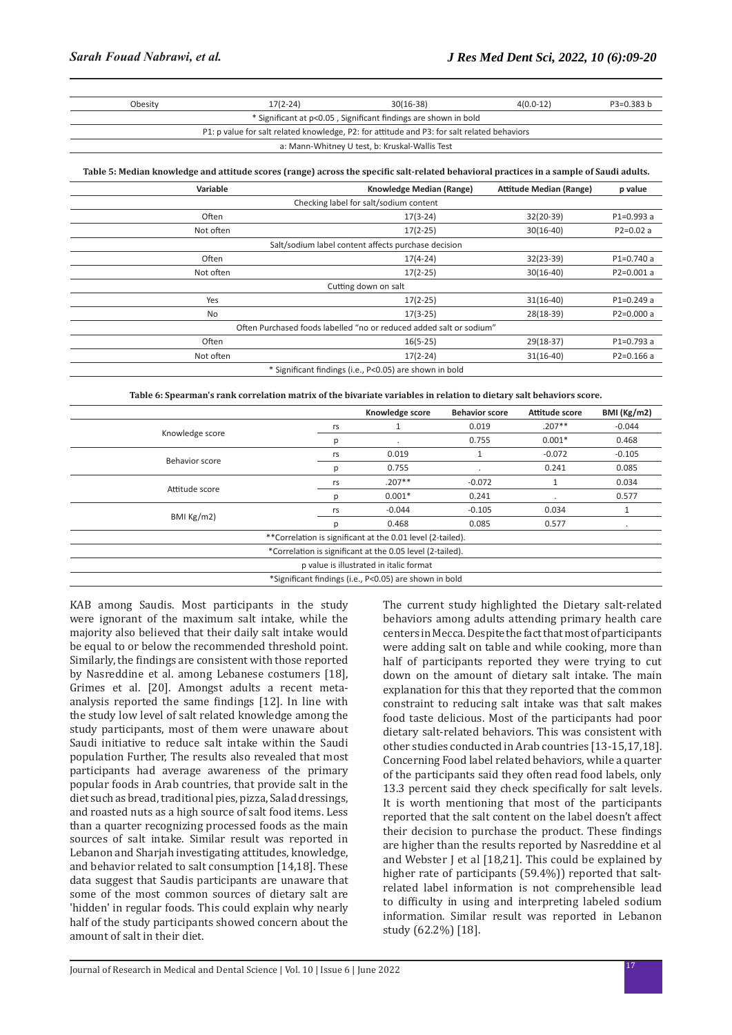| Obesity                                                                                     | $17(2-24)$ | $30(16-38)$                                                     | $4(0.0-12)$ | $P3=0.383 b$ |
|---------------------------------------------------------------------------------------------|------------|-----------------------------------------------------------------|-------------|--------------|
|                                                                                             |            | * Significant at p<0.05, Significant findings are shown in bold |             |              |
| P1: p value for salt related knowledge, P2: for attitude and P3: for salt related behaviors |            |                                                                 |             |              |
|                                                                                             |            | a: Mann-Whitney U test, b: Kruskal-Wallis Test                  |             |              |

**Table 5: Median knowledge and attitude scores (range) across the specific salt-related behavioral practices in a sample of Saudi adults.**

| Variable                                                            | Knowledge Median (Range)                                | <b>Attitude Median (Range)</b> | p value       |
|---------------------------------------------------------------------|---------------------------------------------------------|--------------------------------|---------------|
|                                                                     | Checking label for salt/sodium content                  |                                |               |
| Often                                                               | $17(3-24)$                                              | 32(20-39)                      | $P1 = 0.993a$ |
| Not often                                                           | $17(2-25)$                                              | $30(16-40)$                    | $P2=0.02 a$   |
|                                                                     | Salt/sodium label content affects purchase decision     |                                |               |
| Often                                                               | $17(4-24)$                                              | 32(23-39)                      | $P1=0.740a$   |
| Not often                                                           | $17(2-25)$                                              | $30(16-40)$                    | $P2=0.001a$   |
| Cutting down on salt                                                |                                                         |                                |               |
| Yes                                                                 | $17(2-25)$                                              | $31(16-40)$                    | $P1=0.249a$   |
| No                                                                  | $17(3-25)$                                              | 28(18-39)                      | $P2=0.000a$   |
| Often Purchased foods labelled "no or reduced added salt or sodium" |                                                         |                                |               |
| Often                                                               | $16(5-25)$                                              | $29(18-37)$                    | $P1=0.793a$   |
| Not often                                                           | $17(2-24)$                                              | $31(16-40)$                    | $P2=0.166a$   |
|                                                                     | * Significant findings (i.e., P<0.05) are shown in bold |                                |               |

#### **Table 6: Spearman's rank correlation matrix of the bivariate variables in relation to dietary salt behaviors score.**

|                                                            |    | Knowledge score                                        | <b>Behavior score</b> | Attitude score | <b>BMI</b> (Kg/m2) |
|------------------------------------------------------------|----|--------------------------------------------------------|-----------------------|----------------|--------------------|
|                                                            |    |                                                        | 0.019                 | $.207**$       | $-0.044$           |
| Knowledge score                                            | р  | $\cdot$                                                | 0.755                 | $0.001*$       | 0.468              |
| Behavior score                                             | rs | 0.019                                                  |                       | $-0.072$       | $-0.105$           |
|                                                            | D  | 0.755                                                  |                       | 0.241          | 0.085              |
| Attitude score                                             | rs | $.207**$                                               | $-0.072$              |                | 0.034              |
|                                                            | р  | $0.001*$                                               | 0.241                 | $\cdot$        | 0.577              |
| BMI Kg/m2                                                  | rs | $-0.044$                                               | $-0.105$              | 0.034          | 1                  |
|                                                            | D  | 0.468                                                  | 0.085                 | 0.577          |                    |
| **Correlation is significant at the 0.01 level (2-tailed). |    |                                                        |                       |                |                    |
| *Correlation is significant at the 0.05 level (2-tailed).  |    |                                                        |                       |                |                    |
| p value is illustrated in italic format                    |    |                                                        |                       |                |                    |
|                                                            |    | *Significant findings (i.e., P<0.05) are shown in bold |                       |                |                    |

KAB among Saudis. Most participants in the study were ignorant of the maximum salt intake, while the majority also believed that their daily salt intake would be equal to or below the recommended threshold point. Similarly, the findings are consistent with those reported by Nasreddine et al. among Lebanese costumers [18], Grimes et al. [20]. Amongst adults a recent metaanalysis reported the same findings [12]. In line with the study low level of salt related knowledge among the study participants, most of them were unaware about Saudi initiative to reduce salt intake within the Saudi population Further, The results also revealed that most participants had average awareness of the primary popular foods in Arab countries, that provide salt in the diet such as bread, traditional pies, pizza, Salad dressings, and roasted nuts as a high source of salt food items. Less than a quarter recognizing processed foods as the main sources of salt intake. Similar result was reported in Lebanon and Sharjah investigating attitudes, knowledge, and behavior related to salt consumption [14,18]. These data suggest that Saudis participants are unaware that some of the most common sources of dietary salt are 'hidden' in regular foods. This could explain why nearly half of the study participants showed concern about the amount of salt in their diet.

The current study highlighted the Dietary salt-related behaviors among adults attending primary health care centers in Mecca. Despite the fact that most of participants were adding salt on table and while cooking, more than half of participants reported they were trying to cut down on the amount of dietary salt intake. The main explanation for this that they reported that the common constraint to reducing salt intake was that salt makes food taste delicious. Most of the participants had poor dietary salt-related behaviors. This was consistent with other studies conducted in Arab countries [13-15,17,18]. Concerning Food label related behaviors, while a quarter of the participants said they often read food labels, only 13.3 percent said they check specifically for salt levels. It is worth mentioning that most of the participants reported that the salt content on the label doesn't affect their decision to purchase the product. These findings are higher than the results reported by Nasreddine et al and Webster J et al [18,21]. This could be explained by higher rate of participants (59.4%)) reported that saltrelated label information is not comprehensible lead to difficulty in using and interpreting labeled sodium information. Similar result was reported in Lebanon study (62.2%) [18].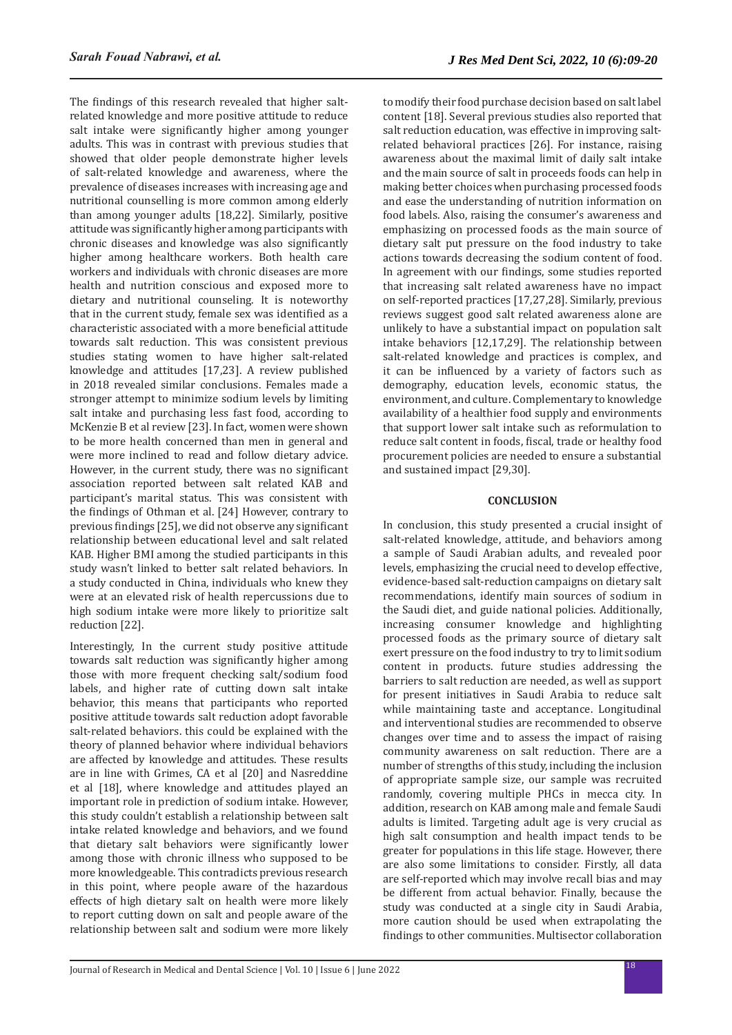The findings of this research revealed that higher saltrelated knowledge and more positive attitude to reduce salt intake were significantly higher among younger adults. This was in contrast with previous studies that showed that older people demonstrate higher levels of salt-related knowledge and awareness, where the prevalence of diseases increases with increasing age and nutritional counselling is more common among elderly than among younger adults [18,22]. Similarly, positive attitude was significantly higher among participants with chronic diseases and knowledge was also significantly higher among healthcare workers. Both health care workers and individuals with chronic diseases are more health and nutrition conscious and exposed more to dietary and nutritional counseling. It is noteworthy that in the current study, female sex was identified as a characteristic associated with a more beneficial attitude towards salt reduction. This was consistent previous studies stating women to have higher salt-related knowledge and attitudes [17,23]. A review published in 2018 revealed similar conclusions. Females made a stronger attempt to minimize sodium levels by limiting salt intake and purchasing less fast food, according to McKenzie B et al review [23]. In fact, women were shown to be more health concerned than men in general and were more inclined to read and follow dietary advice. However, in the current study, there was no significant association reported between salt related KAB and participant's marital status. This was consistent with the findings of Othman et al. [24] However, contrary to previous findings [25], we did not observe any significant relationship between educational level and salt related KAB. Higher BMI among the studied participants in this study wasn't linked to better salt related behaviors. In a study conducted in China, individuals who knew they were at an elevated risk of health repercussions due to high sodium intake were more likely to prioritize salt reduction [22].

Interestingly, In the current study positive attitude towards salt reduction was significantly higher among those with more frequent checking salt/sodium food labels, and higher rate of cutting down salt intake behavior, this means that participants who reported positive attitude towards salt reduction adopt favorable salt-related behaviors. this could be explained with the theory of planned behavior where individual behaviors are affected by knowledge and attitudes. These results are in line with Grimes, CA et al [20] and Nasreddine et al [18], where knowledge and attitudes played an important role in prediction of sodium intake. However, this study couldn't establish a relationship between salt intake related knowledge and behaviors, and we found that dietary salt behaviors were significantly lower among those with chronic illness who supposed to be more knowledgeable. This contradicts previous research in this point, where people aware of the hazardous effects of high dietary salt on health were more likely to report cutting down on salt and people aware of the relationship between salt and sodium were more likely to modify their food purchase decision based on salt label content [18]. Several previous studies also reported that salt reduction education, was effective in improving saltrelated behavioral practices [26]. For instance, raising awareness about the maximal limit of daily salt intake and the main source of salt in proceeds foods can help in making better choices when purchasing processed foods and ease the understanding of nutrition information on food labels. Also, raising the consumer's awareness and emphasizing on processed foods as the main source of dietary salt put pressure on the food industry to take actions towards decreasing the sodium content of food. In agreement with our findings, some studies reported that increasing salt related awareness have no impact on self-reported practices [17,27,28]. Similarly, previous reviews suggest good salt related awareness alone are unlikely to have a substantial impact on population salt intake behaviors [12,17,29]. The relationship between salt-related knowledge and practices is complex, and it can be influenced by a variety of factors such as demography, education levels, economic status, the environment, and culture. Complementary to knowledge availability of a healthier food supply and environments that support lower salt intake such as reformulation to reduce salt content in foods, fiscal, trade or healthy food procurement policies are needed to ensure a substantial and sustained impact [29,30].

#### **CONCLUSION**

In conclusion, this study presented a crucial insight of salt-related knowledge, attitude, and behaviors among a sample of Saudi Arabian adults, and revealed poor levels, emphasizing the crucial need to develop effective, evidence-based salt-reduction campaigns on dietary salt recommendations, identify main sources of sodium in the Saudi diet, and guide national policies. Additionally, increasing consumer knowledge and highlighting processed foods as the primary source of dietary salt exert pressure on the food industry to try to limit sodium content in products. future studies addressing the barriers to salt reduction are needed, as well as support for present initiatives in Saudi Arabia to reduce salt while maintaining taste and acceptance. Longitudinal and interventional studies are recommended to observe changes over time and to assess the impact of raising community awareness on salt reduction. There are a number of strengths of this study, including the inclusion of appropriate sample size, our sample was recruited randomly, covering multiple PHCs in mecca city. In addition, research on KAB among male and female Saudi adults is limited. Targeting adult age is very crucial as high salt consumption and health impact tends to be greater for populations in this life stage. However, there are also some limitations to consider. Firstly, all data are self-reported which may involve recall bias and may be different from actual behavior. Finally, because the study was conducted at a single city in Saudi Arabia, more caution should be used when extrapolating the findings to other communities. Multisector collaboration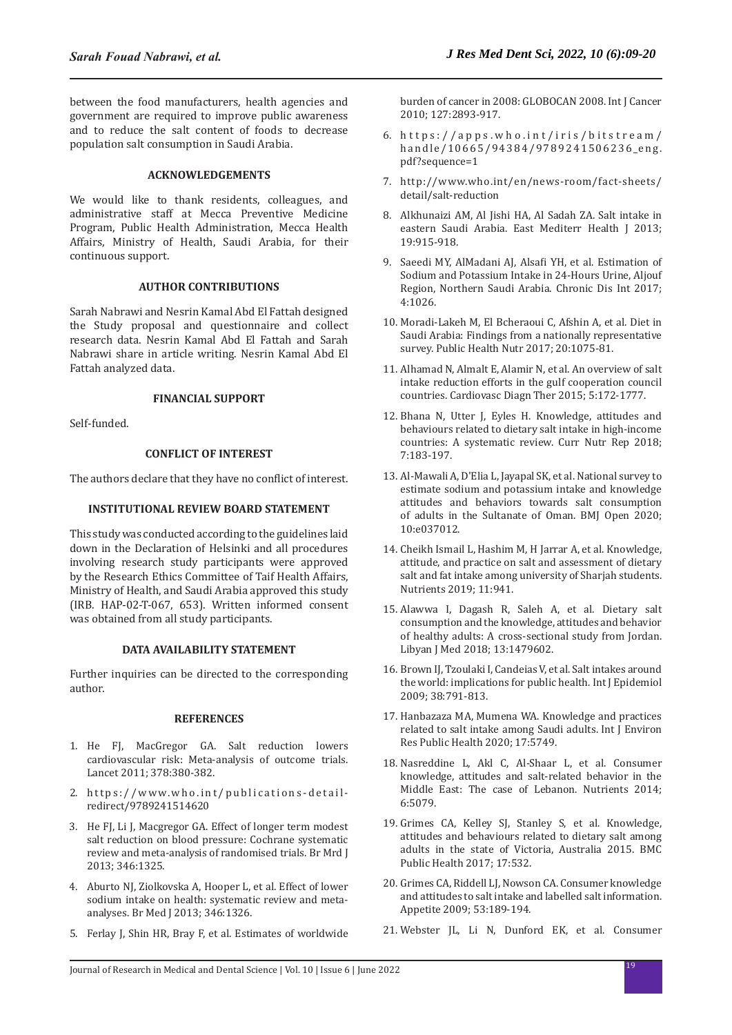between the food manufacturers, health agencies and government are required to improve public awareness and to reduce the salt content of foods to decrease population salt consumption in Saudi Arabia.

## **ACKNOWLEDGEMENTS**

We would like to thank residents, colleagues, and administrative staff at Mecca Preventive Medicine Program, Public Health Administration, Mecca Health Affairs, Ministry of Health, Saudi Arabia, for their continuous support.

### **AUTHOR CONTRIBUTIONS**

Sarah Nabrawi and Nesrin Kamal Abd El Fattah designed the Study proposal and questionnaire and collect research data. Nesrin Kamal Abd El Fattah and Sarah Nabrawi share in article writing. Nesrin Kamal Abd El Fattah analyzed data.

# **FINANCIAL SUPPORT**

Self-funded.

# **CONFLICT OF INTEREST**

The authors declare that they have no conflict of interest.

## **INSTITUTIONAL REVIEW BOARD STATEMENT**

This study was conducted according to the guidelines laid down in the Declaration of Helsinki and all procedures involving research study participants were approved by the Research Ethics Committee of Taif Health Affairs, Ministry of Health, and Saudi Arabia approved this study (IRB. HAP-02-T-067, 653). Written informed consent was obtained from all study participants.

## **DATA AVAILABILITY STATEMENT**

Further inquiries can be directed to the corresponding author.

#### **REFERENCES**

- 1. He FJ, MacGregor GA. [Salt reduction lowers](https://www.thelancet.com/journals/lancet/article/PIIS0140-6736(11)61174-4/fulltext) [cardiovascular risk: Meta-analysis of outcome trials.](https://www.thelancet.com/journals/lancet/article/PIIS0140-6736(11)61174-4/fulltext) Lancet 2011; 378:380-382.
- 2. https://www.who.int/publications-detailredirect/9789241514620
- 3. He FJ, Li J, Macgregor GA. [Effect of longer term modest](https://www.bmj.com/content/346/bmj.f1325) [salt reduction on blood pressure: Cochrane systematic](https://www.bmj.com/content/346/bmj.f1325) [review and meta-analysis of randomised trials.](https://www.bmj.com/content/346/bmj.f1325) Br Mrd J 2013; 346:1325.
- 4. Aburto NJ, Ziolkovska A, Hooper L, et al. [Effect of lower](https://www.bmj.com/content/bmj/346/bmj.f1326.full.pdf) [sodium intake on health: systematic review and meta](https://www.bmj.com/content/bmj/346/bmj.f1326.full.pdf)[analyses.](https://www.bmj.com/content/bmj/346/bmj.f1326.full.pdf) Br Med J 2013; 346:1326.
- 5. Ferlay J, Shin HR, Bray F, et al. [Estimates of worldwide](https://onlinelibrary.wiley.com/doi/full/10.1002/ijc.25516)

[burden of cancer in 2008: GLOBOCAN 2008](https://onlinelibrary.wiley.com/doi/full/10.1002/ijc.25516). Int J Cancer 2010; 127:2893-917.

- 6. https://apps.who.int/iris/bitstream/ handle/10665/94384/9789241506236\_eng. pdf?sequence=1
- 7. http://www.who.int/en/news-room/fact-sheets/ detail/salt-reduction
- 8. Alkhunaizi AM, Al Jishi HA, Al Sadah ZA. [Salt intake in](https://apps.who.int/iris/bitstream/handle/10665/326758/EMHJ_19_11_2013.pdf?sequence=1#page=17)  [eastern Saudi Arabia](https://apps.who.int/iris/bitstream/handle/10665/326758/EMHJ_19_11_2013.pdf?sequence=1#page=17). East Mediterr Health J 2013; 19:915-918.
- 9. Saeedi MY, AlMadani AJ, Alsafi YH, et al. [Estimation of](https://www.academia.edu/download/57744087/fulltext_chronicdiseases-v4-id1026.pdf)  [Sodium and Potassium Intake in 24-Hours Urine, Aljouf](https://www.academia.edu/download/57744087/fulltext_chronicdiseases-v4-id1026.pdf)  [Region, Northern Saudi Arabia](https://www.academia.edu/download/57744087/fulltext_chronicdiseases-v4-id1026.pdf). Chronic Dis Int 2017; 4:1026.
- 10. Moradi-Lakeh M, El Bcheraoui C, Afshin A, et al. [Diet in](https://www.cambridge.org/core/journals/public-health-nutrition/article/diet-in-saudi-arabia-findings-from-a-nationally-representative-survey/5AE1B48B5D0021C6FEF87DE3405B040F)  [Saudi Arabia: Findings from a nationally representative](https://www.cambridge.org/core/journals/public-health-nutrition/article/diet-in-saudi-arabia-findings-from-a-nationally-representative-survey/5AE1B48B5D0021C6FEF87DE3405B040F)  [survey](https://www.cambridge.org/core/journals/public-health-nutrition/article/diet-in-saudi-arabia-findings-from-a-nationally-representative-survey/5AE1B48B5D0021C6FEF87DE3405B040F). Public Health Nutr 2017; 20:1075-81.
- 11. Alhamad N, Almalt E, Alamir N, et al. [An overview of salt](https://cdt.amegroups.com/article/view/6460/7284)  [intake reduction efforts in the gulf cooperation council](https://cdt.amegroups.com/article/view/6460/7284)  [countries](https://cdt.amegroups.com/article/view/6460/7284). Cardiovasc Diagn Ther 2015; 5:172-1777.
- 12. Bhana N, Utter J, Eyles H. [Knowledge, attitudes and](https://link.springer.com/article/10.1007/s13668-018-0239-9)  [behaviours related to dietary salt intake in high-income](https://link.springer.com/article/10.1007/s13668-018-0239-9)  [countries: A systematic review.](https://link.springer.com/article/10.1007/s13668-018-0239-9) Curr Nutr Rep 2018; 7:183-197.
- 13. Al-Mawali A, D'Elia L, Jayapal SK, et al. [National survey to](https://bmjopen.bmj.com/content/10/10/e037012.abstract)  [estimate sodium and potassium intake and knowledge](https://bmjopen.bmj.com/content/10/10/e037012.abstract)  [attitudes and behaviors towards salt consumption](https://bmjopen.bmj.com/content/10/10/e037012.abstract)  [of adults in the Sultanate of Oman.](https://bmjopen.bmj.com/content/10/10/e037012.abstract) BMJ Open 2020; 10:e037012.
- 14. Cheikh Ismail L, Hashim M, H Jarrar A, et al. [Knowledge,](https://www.mdpi.com/2072-6643/11/5/941)  [attitude, and practice on salt and assessment of dietary](https://www.mdpi.com/2072-6643/11/5/941)  [salt and fat intake among university of Sharjah students.](https://www.mdpi.com/2072-6643/11/5/941) Nutrients 2019; 11:941.
- 15. Alawwa I, Dagash R, Saleh A, et al. [Dietary salt](https://www.ajol.info/index.php/ljm/article/view/176246)  [consumption and the knowledge, attitudes and behavior](https://www.ajol.info/index.php/ljm/article/view/176246)  [of healthy adults: A cross-sectional study from Jordan.](https://www.ajol.info/index.php/ljm/article/view/176246) Libyan J Med 2018; 13:1479602.
- 16. Brown IJ, Tzoulaki I, Candeias V, et al. [Salt intakes around](https://academic.oup.com/ije/article/38/3/791/684827?login=true)  [the world: implications for public health.](https://academic.oup.com/ije/article/38/3/791/684827?login=true) Int J Epidemiol 2009; 38:791-813.
- 17. Hanbazaza MA, Mumena WA. [Knowledge and practices](https://www.mdpi.com/1660-4601/17/16/5749)  [related to salt intake among Saudi adults.](https://www.mdpi.com/1660-4601/17/16/5749) Int J Environ Res Public Health 2020; 17:5749.
- 18. Nasreddine L, Akl C, Al-Shaar L, et al. [Consumer](https://www.mdpi.com/2072-6643/6/11/5079)  [knowledge, attitudes and salt-related behavior in the](https://www.mdpi.com/2072-6643/6/11/5079)  [Middle East: The case of Lebanon](https://www.mdpi.com/2072-6643/6/11/5079). Nutrients 2014; 6:5079.
- 19. Grimes CA, Kelley SJ, Stanley S, et al. [Knowledge,](https://bmcpublichealth.biomedcentral.com/articles/10.1186/s12889-017-4451-0)  [attitudes and behaviours related to dietary salt among](https://bmcpublichealth.biomedcentral.com/articles/10.1186/s12889-017-4451-0)  [adults in the state of Victoria, Australia 2015](https://bmcpublichealth.biomedcentral.com/articles/10.1186/s12889-017-4451-0). BMC Public Health 2017; 17:532.
- 20. Grimes CA, Riddell LJ, Nowson CA. [Consumer knowledge](https://www.sciencedirect.com/science/article/abs/pii/S019566630900542X)  [and attitudes to salt intake and labelled salt information.](https://www.sciencedirect.com/science/article/abs/pii/S019566630900542X) Appetite 2009; 53:189-194.
- 21. Webster JL, Li N, Dunford EK, et al. Consumer